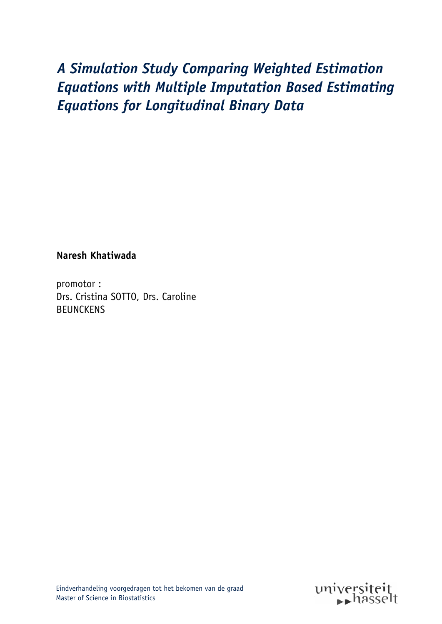# A Simulation Study Comparing Weighted Estimation **Equations with Multiple Imputation Based Estimating** *Equations for Longitudinal Binary Data*

**Naresh Khatiwada** 

promotor: Drs. Cristina SOTTO, Drs. Caroline BEUNCKENS

Eindverhandeling voorgedragen tot het bekomen van de graad Master of Science in Biostatistics

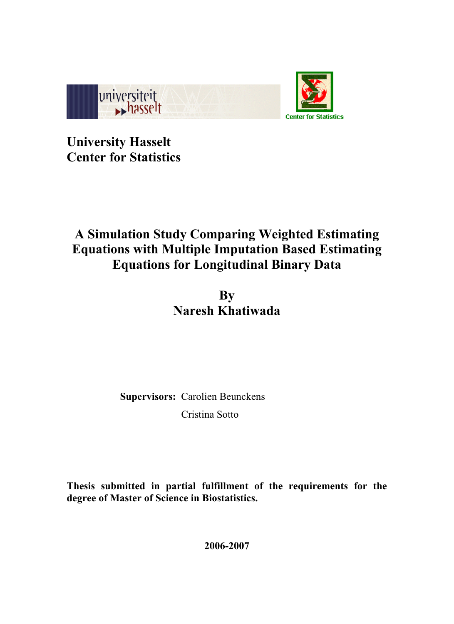

**University Hasselt Center for Statistics** 

# **A Simulation Study Comparing Weighted Estimating Equations with Multiple Imputation Based Estimating Equations for Longitudinal Binary Data**

**By Naresh Khatiwada** 

**Supervisors:** Carolien Beunckens Cristina Sotto

**Thesis submitted in partial fulfillment of the requirements for the degree of Master of Science in Biostatistics.** 

**2006-2007**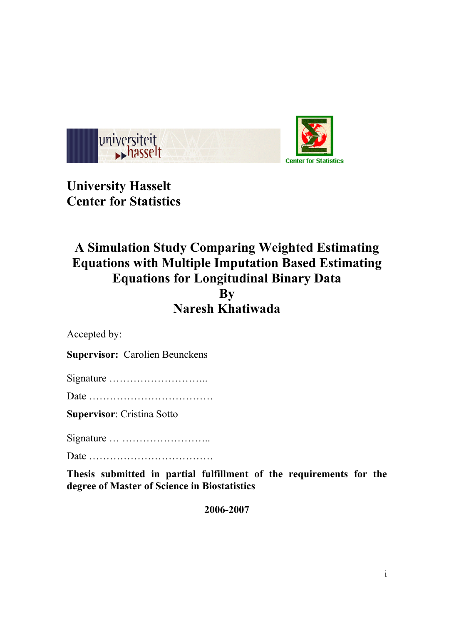

**University Hasselt Center for Statistics** 

# **A Simulation Study Comparing Weighted Estimating Equations with Multiple Imputation Based Estimating Equations for Longitudinal Binary Data By Naresh Khatiwada**

Accepted by:

**Supervisor:** Carolien Beunckens

Signature ………………………..

Date ………………………………

**Supervisor**: Cristina Sotto

Signature … ……………………..

Date ………………………………

**Thesis submitted in partial fulfillment of the requirements for the degree of Master of Science in Biostatistics**

**2006-2007**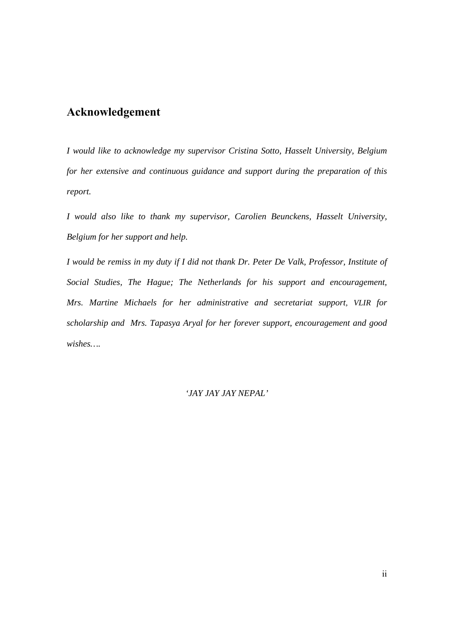# **Acknowledgement**

*I would like to acknowledge my supervisor Cristina Sotto, Hasselt University, Belgium for her extensive and continuous guidance and support during the preparation of this report.* 

*I would also like to thank my supervisor, Carolien Beunckens, Hasselt University, Belgium for her support and help.* 

*I would be remiss in my duty if I did not thank Dr. Peter De Valk, Professor, Institute of Social Studies, The Hague; The Netherlands for his support and encouragement, Mrs. Martine Michaels for her administrative and secretariat support, VLIR for scholarship and Mrs. Tapasya Aryal for her forever support, encouragement and good wishes….* 

#### *'JAY JAY JAY NEPAL'*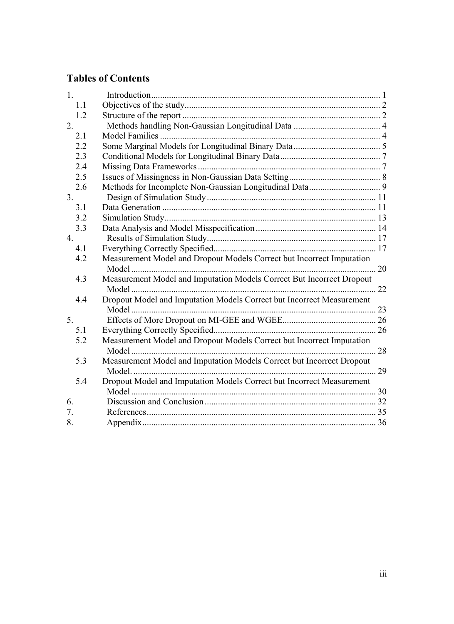# **Tables of Contents**

| 1.               |                                                                       |  |
|------------------|-----------------------------------------------------------------------|--|
| 1.1              |                                                                       |  |
| 1.2              |                                                                       |  |
| 2.               |                                                                       |  |
| 2.1              |                                                                       |  |
| 2.2              |                                                                       |  |
| 2.3              |                                                                       |  |
| 2.4              |                                                                       |  |
| 2.5              |                                                                       |  |
| 2.6              |                                                                       |  |
| 3 <sub>1</sub>   |                                                                       |  |
| 3.1              |                                                                       |  |
| 3.2              |                                                                       |  |
| 3.3              |                                                                       |  |
| $\overline{4}$ . |                                                                       |  |
| 4.1              |                                                                       |  |
| 4.2              | Measurement Model and Dropout Models Correct but Incorrect Imputation |  |
|                  |                                                                       |  |
| 4.3              | Measurement Model and Imputation Models Correct But Incorrect Dropout |  |
|                  |                                                                       |  |
| 4.4              | Dropout Model and Imputation Models Correct but Incorrect Measurement |  |
|                  |                                                                       |  |
| 5.               |                                                                       |  |
| 5.1              |                                                                       |  |
| 5.2              | Measurement Model and Dropout Models Correct but Incorrect Imputation |  |
|                  |                                                                       |  |
| 5.3              | Measurement Model and Imputation Models Correct but Incorrect Dropout |  |
|                  |                                                                       |  |
| 5.4              | Dropout Model and Imputation Models Correct but Incorrect Measurement |  |
|                  |                                                                       |  |
| 6.               |                                                                       |  |
| 7.               |                                                                       |  |
| 8.               |                                                                       |  |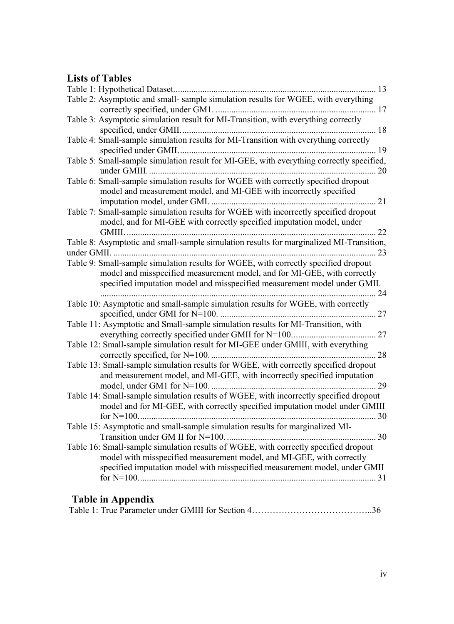# **Lists of Tables**

|                                                                                                                                                                                                                                                  | 13 |
|--------------------------------------------------------------------------------------------------------------------------------------------------------------------------------------------------------------------------------------------------|----|
| Table 2: Asymptotic and small- sample simulation results for WGEE, with everything                                                                                                                                                               |    |
|                                                                                                                                                                                                                                                  |    |
| Table 3: Asymptotic simulation result for MI-Transition, with everything correctly<br>specified, under GMII                                                                                                                                      |    |
| Table 4: Small-sample simulation results for MI-Transition with everything correctly                                                                                                                                                             | 19 |
| Table 5: Small-sample simulation result for MI-GEE, with everything correctly specified,                                                                                                                                                         | 20 |
| Table 6: Small-sample simulation results for WGEE with correctly specified dropout<br>model and measurement model, and MI-GEE with incorrectly specified<br>imputation model, under GMI<br>$\ldots$ 21                                           |    |
| Table 7: Small-sample simulation results for WGEE with incorrectly specified dropout<br>model, and for MI-GEE with correctly specified imputation model, under                                                                                   | 22 |
| Table 8: Asymptotic and small-sample simulation results for marginalized MI-Transition,                                                                                                                                                          | 23 |
| Table 9: Small-sample simulation results for WGEE, with correctly specified dropout<br>model and misspecified measurement model, and for MI-GEE, with correctly<br>specified imputation model and misspecified measurement model under GMII.<br> | 24 |
| Table 10: Asymptotic and small-sample simulation results for WGEE, with correctly                                                                                                                                                                |    |
| Table 11: Asymptotic and Small-sample simulation results for MI-Transition, with                                                                                                                                                                 |    |
| Table 12: Small-sample simulation result for MI-GEE under GMIII, with everything                                                                                                                                                                 | 28 |
| Table 13: Small-sample simulation results for WGEE, with correctly specified dropout<br>and measurement model, and MI-GEE, with incorrectly specified imputation                                                                                 | 29 |
| Table 14: Small-sample simulation results of WGEE, with incorrectly specified dropout<br>model and for MI-GEE, with correctly specified imputation model under GMIII                                                                             |    |
| Table 15: Asymptotic and small-sample simulation results for marginalized MI-                                                                                                                                                                    |    |
| Table 16: Small-sample simulation results of WGEE, with correctly specified dropout<br>model with misspecified measurement model, and MI-GEE, with correctly<br>specified imputation model with misspecified measurement model, under GMII       |    |

# **Table in Appendix**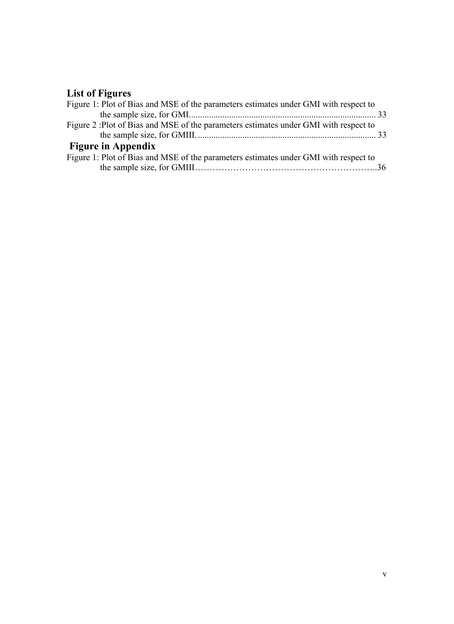# **List of Figures**

| Figure 1: Plot of Bias and MSE of the parameters estimates under GMI with respect to |  |
|--------------------------------------------------------------------------------------|--|
|                                                                                      |  |
| Figure 2: Plot of Bias and MSE of the parameters estimates under GMI with respect to |  |
|                                                                                      |  |
| <b>Figure in Appendix</b>                                                            |  |
| Figure 1: Plot of Bias and MSE of the parameters estimates under GMI with respect to |  |
|                                                                                      |  |
|                                                                                      |  |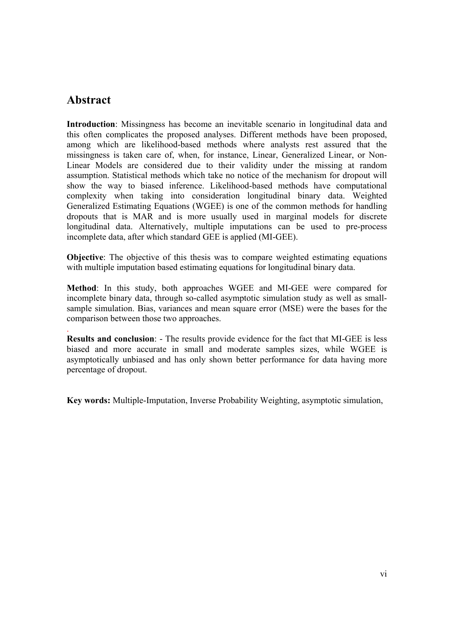# **Abstract**

.

**Introduction**: Missingness has become an inevitable scenario in longitudinal data and this often complicates the proposed analyses. Different methods have been proposed, among which are likelihood-based methods where analysts rest assured that the missingness is taken care of, when, for instance, Linear, Generalized Linear, or Non-Linear Models are considered due to their validity under the missing at random assumption. Statistical methods which take no notice of the mechanism for dropout will show the way to biased inference. Likelihood-based methods have computational complexity when taking into consideration longitudinal binary data. Weighted Generalized Estimating Equations (WGEE) is one of the common methods for handling dropouts that is MAR and is more usually used in marginal models for discrete longitudinal data. Alternatively, multiple imputations can be used to pre-process incomplete data, after which standard GEE is applied (MI-GEE).

**Objective**: The objective of this thesis was to compare weighted estimating equations with multiple imputation based estimating equations for longitudinal binary data.

**Method**: In this study, both approaches WGEE and MI-GEE were compared for incomplete binary data, through so-called asymptotic simulation study as well as smallsample simulation. Bias, variances and mean square error (MSE) were the bases for the comparison between those two approaches.

**Results and conclusion**: - The results provide evidence for the fact that MI-GEE is less biased and more accurate in small and moderate samples sizes, while WGEE is asymptotically unbiased and has only shown better performance for data having more percentage of dropout.

**Key words:** Multiple-Imputation, Inverse Probability Weighting, asymptotic simulation,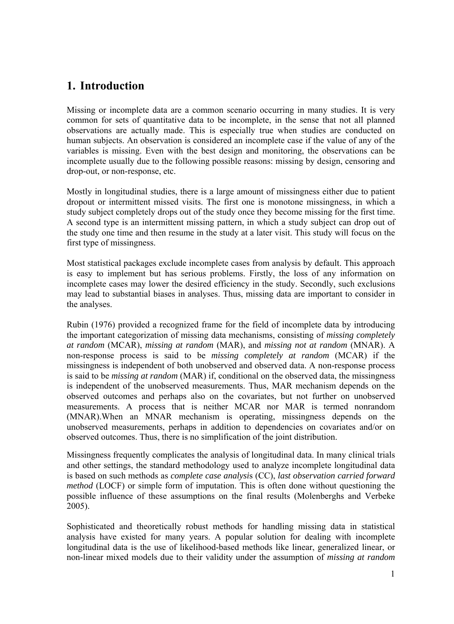# **1. Introduction**

Missing or incomplete data are a common scenario occurring in many studies. It is very common for sets of quantitative data to be incomplete, in the sense that not all planned observations are actually made. This is especially true when studies are conducted on human subjects. An observation is considered an incomplete case if the value of any of the variables is missing. Even with the best design and monitoring, the observations can be incomplete usually due to the following possible reasons: missing by design, censoring and drop-out, or non-response, etc.

Mostly in longitudinal studies, there is a large amount of missingness either due to patient dropout or intermittent missed visits. The first one is monotone missingness, in which a study subject completely drops out of the study once they become missing for the first time. A second type is an intermittent missing pattern, in which a study subject can drop out of the study one time and then resume in the study at a later visit. This study will focus on the first type of missingness.

Most statistical packages exclude incomplete cases from analysis by default. This approach is easy to implement but has serious problems. Firstly, the loss of any information on incomplete cases may lower the desired efficiency in the study. Secondly, such exclusions may lead to substantial biases in analyses. Thus, missing data are important to consider in the analyses.

Rubin (1976) provided a recognized frame for the field of incomplete data by introducing the important categorization of missing data mechanisms, consisting of *missing completely at random* (MCAR), *missing at random* (MAR), and *missing not at random* (MNAR). A non-response process is said to be *missing completely at random* (MCAR) if the missingness is independent of both unobserved and observed data. A non-response process is said to be *missing at random* (MAR) if, conditional on the observed data, the missingness is independent of the unobserved measurements. Thus, MAR mechanism depends on the observed outcomes and perhaps also on the covariates, but not further on unobserved measurements. A process that is neither MCAR nor MAR is termed nonrandom (MNAR).When an MNAR mechanism is operating, missingness depends on the unobserved measurements, perhaps in addition to dependencies on covariates and/or on observed outcomes. Thus, there is no simplification of the joint distribution.

Missingness frequently complicates the analysis of longitudinal data. In many clinical trials and other settings, the standard methodology used to analyze incomplete longitudinal data is based on such methods as *complete case analysi*s (CC), *last observation carried forward method* (LOCF) or simple form of imputation. This is often done without questioning the possible influence of these assumptions on the final results (Molenberghs and Verbeke 2005).

Sophisticated and theoretically robust methods for handling missing data in statistical analysis have existed for many years. A popular solution for dealing with incomplete longitudinal data is the use of likelihood-based methods like linear, generalized linear, or non-linear mixed models due to their validity under the assumption of *missing at random*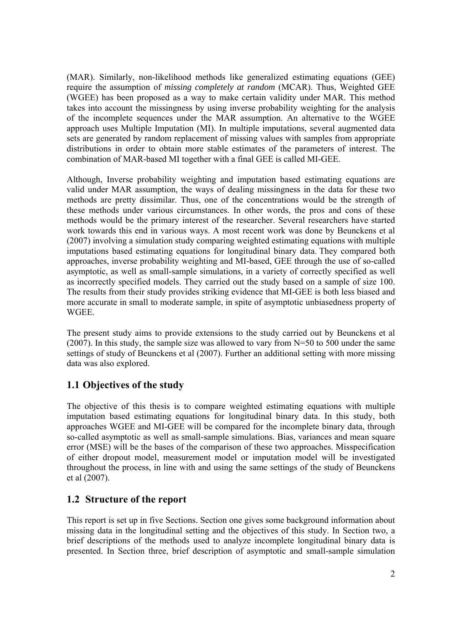(MAR). Similarly, non-likelihood methods like generalized estimating equations (GEE) require the assumption of *missing completely at random* (MCAR). Thus, Weighted GEE (WGEE) has been proposed as a way to make certain validity under MAR. This method takes into account the missingness by using inverse probability weighting for the analysis of the incomplete sequences under the MAR assumption. An alternative to the WGEE approach uses Multiple Imputation (MI). In multiple imputations, several augmented data sets are generated by random replacement of missing values with samples from appropriate distributions in order to obtain more stable estimates of the parameters of interest. The combination of MAR-based MI together with a final GEE is called MI-GEE.

Although, Inverse probability weighting and imputation based estimating equations are valid under MAR assumption, the ways of dealing missingness in the data for these two methods are pretty dissimilar. Thus, one of the concentrations would be the strength of these methods under various circumstances. In other words, the pros and cons of these methods would be the primary interest of the researcher. Several researchers have started work towards this end in various ways. A most recent work was done by Beunckens et al (2007) involving a simulation study comparing weighted estimating equations with multiple imputations based estimating equations for longitudinal binary data. They compared both approaches, inverse probability weighting and MI-based, GEE through the use of so-called asymptotic, as well as small-sample simulations, in a variety of correctly specified as well as incorrectly specified models. They carried out the study based on a sample of size 100. The results from their study provides striking evidence that MI-GEE is both less biased and more accurate in small to moderate sample, in spite of asymptotic unbiasedness property of **WGEE** 

The present study aims to provide extensions to the study carried out by Beunckens et al (2007). In this study, the sample size was allowed to vary from N=50 to 500 under the same settings of study of Beunckens et al (2007). Further an additional setting with more missing data was also explored.

## **1.1 Objectives of the study**

The objective of this thesis is to compare weighted estimating equations with multiple imputation based estimating equations for longitudinal binary data. In this study, both approaches WGEE and MI-GEE will be compared for the incomplete binary data, through so-called asymptotic as well as small-sample simulations. Bias, variances and mean square error (MSE) will be the bases of the comparison of these two approaches. Misspecification of either dropout model, measurement model or imputation model will be investigated throughout the process, in line with and using the same settings of the study of Beunckens et al (2007).

## **1.2 Structure of the report**

This report is set up in five Sections. Section one gives some background information about missing data in the longitudinal setting and the objectives of this study. In Section two, a brief descriptions of the methods used to analyze incomplete longitudinal binary data is presented. In Section three, brief description of asymptotic and small-sample simulation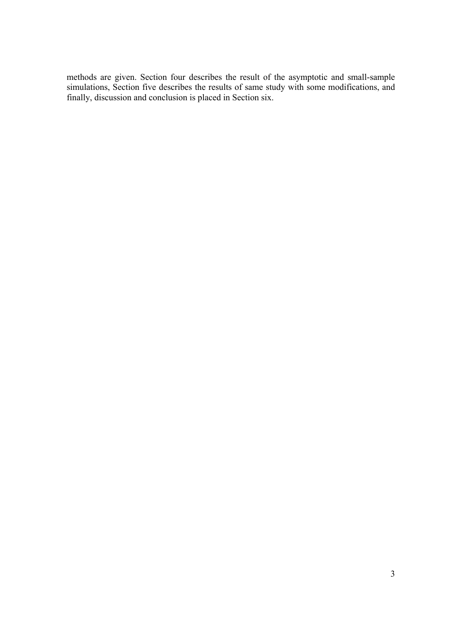methods are given. Section four describes the result of the asymptotic and small-sample simulations, Section five describes the results of same study with some modifications, and finally, discussion and conclusion is placed in Section six.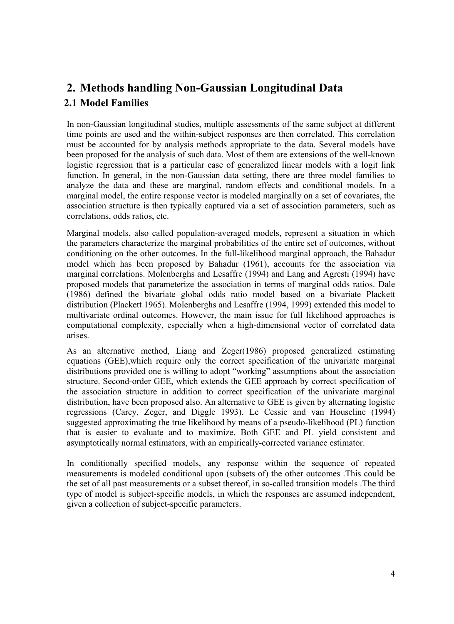# **2. Methods handling Non-Gaussian Longitudinal Data 2.1 Model Families**

In non-Gaussian longitudinal studies, multiple assessments of the same subject at different time points are used and the within-subject responses are then correlated. This correlation must be accounted for by analysis methods appropriate to the data. Several models have been proposed for the analysis of such data. Most of them are extensions of the well-known logistic regression that is a particular case of generalized linear models with a logit link function. In general, in the non-Gaussian data setting, there are three model families to analyze the data and these are marginal, random effects and conditional models. In a marginal model, the entire response vector is modeled marginally on a set of covariates, the association structure is then typically captured via a set of association parameters, such as correlations, odds ratios, etc.

Marginal models, also called population-averaged models, represent a situation in which the parameters characterize the marginal probabilities of the entire set of outcomes, without conditioning on the other outcomes. In the full-likelihood marginal approach, the Bahadur model which has been proposed by Bahadur (1961), accounts for the association via marginal correlations. Molenberghs and Lesaffre (1994) and Lang and Agresti (1994) have proposed models that parameterize the association in terms of marginal odds ratios. Dale (1986) defined the bivariate global odds ratio model based on a bivariate Plackett distribution (Plackett 1965). Molenberghs and Lesaffre (1994, 1999) extended this model to multivariate ordinal outcomes. However, the main issue for full likelihood approaches is computational complexity, especially when a high-dimensional vector of correlated data arises.

As an alternative method, Liang and Zeger(1986) proposed generalized estimating equations (GEE),which require only the correct specification of the univariate marginal distributions provided one is willing to adopt "working" assumptions about the association structure. Second-order GEE, which extends the GEE approach by correct specification of the association structure in addition to correct specification of the univariate marginal distribution, have been proposed also. An alternative to GEE is given by alternating logistic regressions (Carey, Zeger, and Diggle 1993). Le Cessie and van Houseline (1994) suggested approximating the true likelihood by means of a pseudo-likelihood (PL) function that is easier to evaluate and to maximize. Both GEE and PL yield consistent and asymptotically normal estimators, with an empirically-corrected variance estimator.

In conditionally specified models, any response within the sequence of repeated measurements is modeled conditional upon (subsets of) the other outcomes .This could be the set of all past measurements or a subset thereof, in so-called transition models .The third type of model is subject-specific models, in which the responses are assumed independent, given a collection of subject-specific parameters.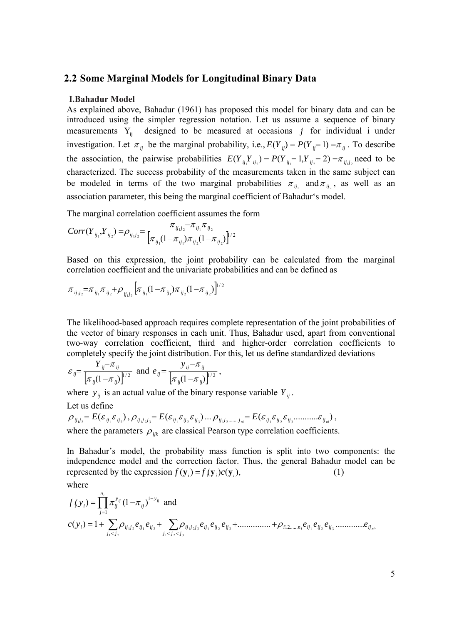#### **2.2 Some Marginal Models for Longitudinal Binary Data**

#### **I.Bahadur Model**

As explained above, Bahadur (1961) has proposed this model for binary data and can be introduced using the simpler regression notation. Let us assume a sequence of binary measurements  $Y_{ii}$  designed to be measured at occasions *j* for individual i under investigation. Let  $\pi_{ij}$  be the marginal probability, i.e.,  $E(Y_{ij}) = P(Y_{ij} = 1) = \pi_{ij}$ . To describe the association, the pairwise probabilities  $E(Y_{ii}Y_{ii}) = P(Y_{ii} = 1, Y_{ii} = 2) = \pi_{ii,j}$  need to be characterized. The success probability of the measurements taken in the same subject can be modeled in terms of the two marginal probabilities  $\pi_{ij}$  and  $\pi_{ij}$ , as well as an association parameter, this being the marginal coefficient of Bahadur's model.

The marginal correlation coefficient assumes the form

$$
Corr(Y_{ij_1}, Y_{ij_2}) = \rho_{ij_1j_2} = \frac{\pi_{ij_1j_2} - \pi_{ij_1}\pi_{ij_2}}{\left[\pi_{ij_1}(1-\pi_{ij_1})\pi_{ij_2}(1-\pi_{ij_2})\right]^{1/2}}
$$

Based on this expression, the joint probability can be calculated from the marginal correlation coefficient and the univariate probabilities and can be defined as

$$
\pi_{ij,j} = \pi_{ij_1} \pi_{ij_2} + \rho_{ij_1j_2} \left[ \pi_{ij_1} (1 - \pi_{ij_1}) \pi_{ij_2} (1 - \pi_{ij_2}) \right]^{1/2}
$$

The likelihood-based approach requires complete representation of the joint probabilities of the vector of binary responses in each unit. Thus, Bahadur used, apart from conventional two-way correlation coefficient, third and higher-order correlation coefficients to completely specify the joint distribution. For this, let us define standardized deviations

$$
\varepsilon_{ij} = \frac{Y_{ij} - \pi_{ij}}{[\pi_{ij}(1 - \pi_{ij})]^{1/2}}
$$
 and  $e_{ij} = \frac{y_{ij} - \pi_{ij}}{[\pi_{ij}(1 - \pi_{ij})]^{1/2}}$ ,

where  $y_{ij}$  is an actual value of the binary response variable  $Y_{ij}$ .

Let us define

$$
\rho_{ij,j} = E(\varepsilon_{ij_1}\varepsilon_{ij_2}), \rho_{ij_1j_2j_3} = E(\varepsilon_{ij_1}\varepsilon_{ij_2}\varepsilon_{ij_3})\dots \rho_{ij_jj_2,\dots,j_m} = E(\varepsilon_{ij_1}\varepsilon_{ij_2}\varepsilon_{ij_3}...\dots \varepsilon_{ij_m}),
$$
  
where the parameters  $\rho_{ijk}$  are classical Pearson type correlation coefficients.

In Bahadur's model, the probability mass function is split into two components: the independence model and the correction factor. Thus, the general Bahadur model can be represented by the expression  $f(\mathbf{y}_i) = f(\mathbf{y}_i)c(\mathbf{y}_i)$ , (1)

where

*i*

$$
f(y_i) = \prod_{j=1}^{n_i} \pi_{ij}^{y_{ij}} (1 - \pi_{ij})^{1 - y_{ij}}
$$
 and  
\n
$$
c(y_i) = 1 + \sum_{j_1 < j_2} \rho_{ij_1 j_2} e_{ij_1} e_{ij_2} + \sum_{j_1 < j_2 < j_3} \rho_{ij_1 j_2 j_3} e_{ij_1} e_{ij_2} e_{ij_3} + \dots + \rho_{i12, \dots, n_i} e_{ij_1} e_{ij_2} e_{ij_3} + \dots + \rho_{i14, \dots, n_i} e_{ij_1} e_{ij_2} e_{ij_3} + \dots + \rho_{i15, \dots, n_i} e_{ij_1} e_{ij_2} e_{ij_3} + \dots + \rho_{i16, \dots, n_i} e_{ij_1} e_{ij_2} e_{ij_3} + \dots + \rho_{i17, \dots, n_i} e_{ij_1} e_{ij_2} e_{ij_3} + \dots + \rho_{i18, \dots, n_i} e_{ij_1} e_{ij_2} e_{ij_3} + \dots + \rho_{i19, \dots, n_i} e_{ij_1} e_{ij_2} e_{ij_3} + \dots + \rho_{i19, \dots, n_i} e_{ij_1} e_{ij_2} e_{ij_3} + \dots + \rho_{i19, \dots, n_i} e_{ij_1} e_{ij_2} e_{ij_3} + \dots + \rho_{i19, \dots, n_i} e_{ij_1} e_{ij_2} e_{ij_3} + \dots + \rho_{i19, \dots, n_i} e_{ij_1} e_{ij_3} e_{ij_3} + \dots + \rho_{i19, \dots, n_i} e_{ij_1} e_{ij_2} e_{ij_3} + \dots + \rho_{i19, \dots, n_i} e_{ij_1} e_{ij_2} e_{ij_3} + \dots + \rho_{i19, \dots, n_i} e_{ij_1} e_{ij_2} e_{ij_3} + \dots + \rho_{i19, \dots, n_i} e_{ij_1} e_{ij_2} e_{ij_3} + \dots + \rho_{i19, \dots, n_i} e_{ij_1} e_{ij_2} e_{ij_3} + \dots + \rho_{i19, \dots, n_i} e_{ij_1} e_{ij_2} e_{ij_3} + \dots + \rho_{i19, \dots, n_i}
$$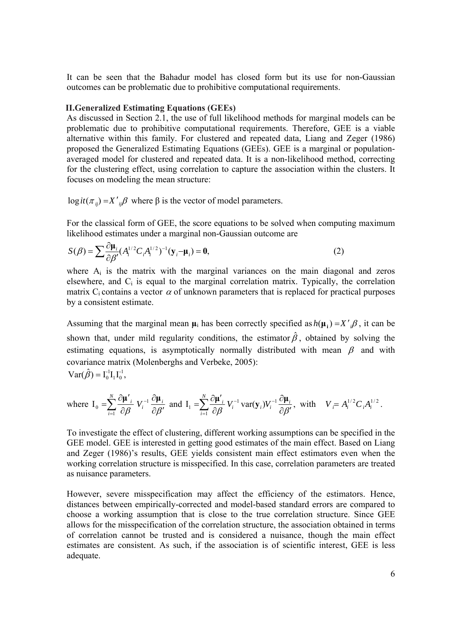It can be seen that the Bahadur model has closed form but its use for non-Gaussian outcomes can be problematic due to prohibitive computational requirements.

#### **II.Generalized Estimating Equations (GEEs)**

As discussed in Section 2.1, the use of full likelihood methods for marginal models can be problematic due to prohibitive computational requirements. Therefore, GEE is a viable alternative within this family. For clustered and repeated data, Liang and Zeger (1986) proposed the Generalized Estimating Equations (GEEs). GEE is a marginal or populationaveraged model for clustered and repeated data. It is a non-likelihood method, correcting for the clustering effect, using correlation to capture the association within the clusters. It focuses on modeling the mean structure:

log  $it(\pi_{ij}) = X'_{ij}\beta$  where  $\beta$  is the vector of model parameters.

For the classical form of GEE, the score equations to be solved when computing maximum likelihood estimates under a marginal non-Gaussian outcome are

$$
S(\beta) = \sum \frac{\partial \mu_i}{\partial \beta'} (A_i^{1/2} C_i A_i^{1/2})^{-1} (\mathbf{y}_i - \mathbf{\mu}_i) = \mathbf{0},
$$
\n(2)

where  $A_i$  is the matrix with the marginal variances on the main diagonal and zeros elsewhere, and  $C_i$  is equal to the marginal correlation matrix. Typically, the correlation matrix C<sub>i</sub> contains a vector  $\alpha$  of unknown parameters that is replaced for practical purposes by a consistent estimate.

Assuming that the marginal mean  $\mu_i$  has been correctly specified as  $h(\mu_i) = X'$ ,  $\beta$ , it can be shown that, under mild regularity conditions, the estimator  $\hat{\beta}$ , obtained by solving the estimating equations, is asymptotically normally distributed with mean  $\beta$  and with covariance matrix (Molenberghs and Verbeke, 2005):  $\text{Var}(\hat{\beta}) = I_0^{-1} I_1 I_0^{-1},$ 

where 
$$
I_0 = \sum_{i=1}^N \frac{\partial \mu'_i}{\partial \beta} V_i^{-1} \frac{\partial \mu_i}{\partial \beta'}
$$
 and  $I_1 = \sum_{i=1}^N \frac{\partial \mu'_i}{\partial \beta} V_i^{-1} \text{var}(\mathbf{y}_i) V_i^{-1} \frac{\partial \mu_i}{\partial \beta'}$ , with  $V_i = A_i^{1/2} C_i A_i^{1/2}$ .

To investigate the effect of clustering, different working assumptions can be specified in the GEE model. GEE is interested in getting good estimates of the main effect. Based on Liang and Zeger (1986)'s results, GEE yields consistent main effect estimators even when the working correlation structure is misspecified. In this case, correlation parameters are treated as nuisance parameters.

However, severe misspecification may affect the efficiency of the estimators. Hence, distances between empirically-corrected and model-based standard errors are compared to choose a working assumption that is close to the true correlation structure. Since GEE allows for the misspecification of the correlation structure, the association obtained in terms of correlation cannot be trusted and is considered a nuisance, though the main effect estimates are consistent. As such, if the association is of scientific interest, GEE is less adequate.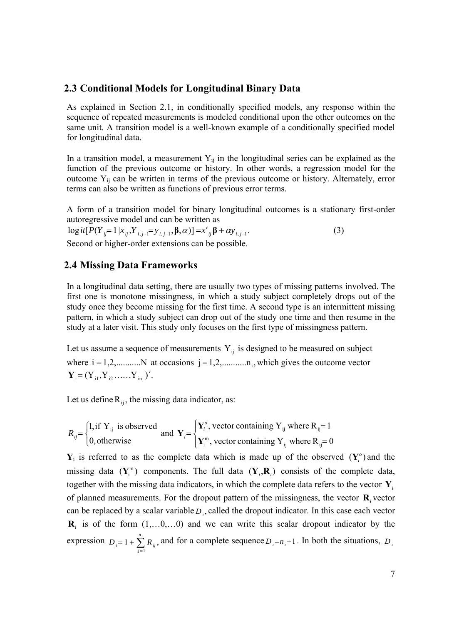#### **2.3 Conditional Models for Longitudinal Binary Data**

As explained in Section 2.1*,* in conditionally specified models*,* any response within the sequence of repeated measurements is modeled conditional upon the other outcomes on the same unit. A transition model is a well-known example of a conditionally specified model for longitudinal data.

In a transition model, a measurement  $Y_{ij}$  in the longitudinal series can be explained as the function of the previous outcome or history. In other words, a regression model for the outcome  $Y_{ij}$  can be written in terms of the previous outcome or history. Alternately, error terms can also be written as functions of previous error terms.

A form of a transition model for binary longitudinal outcomes is a stationary first-order autoregressive model and can be written as

 $\log it[P(Y_{ij}=1|x_{ij},Y_{i,j-1}=y_{i,j-1},\beta,\alpha)]=x'_{ij}\beta+\alpha y_{i,j-1}.$  (3) Second or higher-order extensions can be possible.

#### **2.4 Missing Data Frameworks**

In a longitudinal data setting, there are usually two types of missing patterns involved. The first one is monotone missingness, in which a study subject completely drops out of the study once they become missing for the first time. A second type is an intermittent missing pattern, in which a study subject can drop out of the study one time and then resume in the study at a later visit. This study only focuses on the first type of missingness pattern.

Let us assume a sequence of measurements  $Y_{ii}$  is designed to be measured on subject where  $i = 1, 2, \dots, N$  at occasions  $j = 1, 2, \dots, n_i$ , which gives the outcome vector  $Y_i = (Y_{i1}, Y_{i2}, \dots, Y_{i n_i})'$ .

Let us define  $R_{ii}$ , the missing data indicator, as:

$$
R_{ij} = \begin{cases} 1, & \text{if } Y_{ij} \text{ is observed} \\ 0, & \text{otherwise} \end{cases} \text{ and } Y_i = \begin{cases} Y_i^o, & \text{vector containing } Y_{ij} \text{ where } R_{ij} = 1 \\ Y_i^m, & \text{vector containing } Y_{ij} \text{ where } R_{ij} = 0 \end{cases}
$$

 $Y_i$  is referred to as the complete data which is made up of the observed  $(Y_i^o)$  and the missing data  $(Y_i^m)$  components. The full data  $(Y_i, R_i)$  consists of the complete data, together with the missing data indicators, in which the complete data refers to the vector **Y***<sup>i</sup>* of planned measurements. For the dropout pattern of the missingness, the vector **R***<sup>i</sup>* vector can be replaced by a scalar variable  $D_i$ , called the dropout indicator. In this case each vector  $\mathbf{R}_i$  is of the form  $(1,...0,...0)$  and we can write this scalar dropout indicator by the expression  $D_i = 1 + \sum_{i=1}^{n_i} R_{ii}$ ,  $= 1 + \sum_{j=1}^{n_i}$  $D_i = 1 + \sum_{j=1}^{n} R_{ij}$ , and for a complete sequence  $D_i = n_i + 1$ . In both the situations,  $D_i$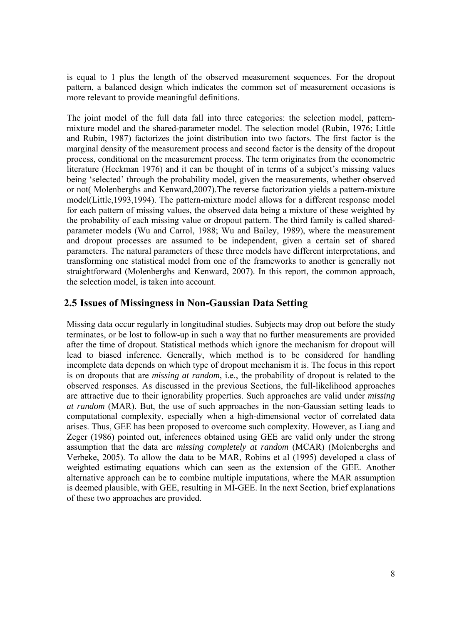is equal to 1 plus the length of the observed measurement sequences. For the dropout pattern, a balanced design which indicates the common set of measurement occasions is more relevant to provide meaningful definitions.

The joint model of the full data fall into three categories: the selection model, patternmixture model and the shared-parameter model. The selection model (Rubin, 1976; Little and Rubin, 1987) factorizes the joint distribution into two factors. The first factor is the marginal density of the measurement process and second factor is the density of the dropout process, conditional on the measurement process. The term originates from the econometric literature (Heckman 1976) and it can be thought of in terms of a subject's missing values being 'selected' through the probability model, given the measurements, whether observed or not( Molenberghs and Kenward,2007).The reverse factorization yields a pattern-mixture model(Little,1993,1994). The pattern-mixture model allows for a different response model for each pattern of missing values, the observed data being a mixture of these weighted by the probability of each missing value or dropout pattern. The third family is called sharedparameter models (Wu and Carrol, 1988; Wu and Bailey, 1989), where the measurement and dropout processes are assumed to be independent, given a certain set of shared parameters. The natural parameters of these three models have different interpretations, and transforming one statistical model from one of the frameworks to another is generally not straightforward (Molenberghs and Kenward, 2007). In this report, the common approach, the selection model, is taken into account.

### **2.5 Issues of Missingness in Non-Gaussian Data Setting**

Missing data occur regularly in longitudinal studies. Subjects may drop out before the study terminates, or be lost to follow-up in such a way that no further measurements are provided after the time of dropout. Statistical methods which ignore the mechanism for dropout will lead to biased inference. Generally, which method is to be considered for handling incomplete data depends on which type of dropout mechanism it is. The focus in this report is on dropouts that are *missing at random*, i.e., the probability of dropout is related to the observed responses. As discussed in the previous Sections, the full-likelihood approaches are attractive due to their ignorability properties. Such approaches are valid under *missing at random* (MAR). But, the use of such approaches in the non-Gaussian setting leads to computational complexity, especially when a high-dimensional vector of correlated data arises. Thus, GEE has been proposed to overcome such complexity. However, as Liang and Zeger (1986) pointed out, inferences obtained using GEE are valid only under the strong assumption that the data are *missing completely at random* (MCAR) (Molenberghs and Verbeke, 2005). To allow the data to be MAR, Robins et al (1995) developed a class of weighted estimating equations which can seen as the extension of the GEE. Another alternative approach can be to combine multiple imputations, where the MAR assumption is deemed plausible, with GEE, resulting in MI-GEE. In the next Section, brief explanations of these two approaches are provided.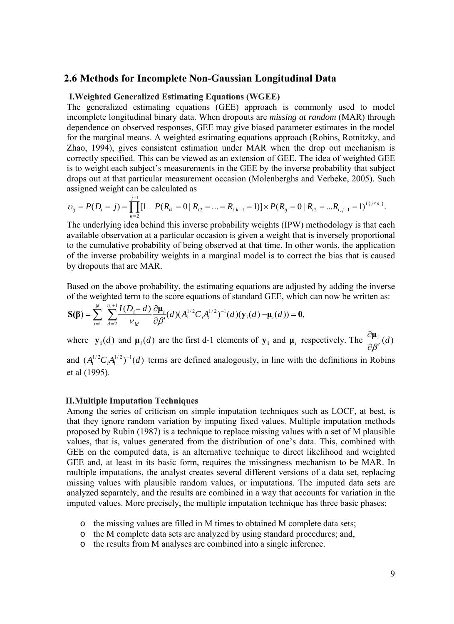#### **2.6 Methods for Incomplete Non-Gaussian Longitudinal Data**

#### **I.Weighted Generalized Estimating Equations (WGEE)**

The generalized estimating equations (GEE) approach is commonly used to model incomplete longitudinal binary data. When dropouts are *missing at random* (MAR) through dependence on observed responses, GEE may give biased parameter estimates in the model for the marginal means. A weighted estimating equations approach (Robins, Rotnitzky, and Zhao, 1994), gives consistent estimation under MAR when the drop out mechanism is correctly specified. This can be viewed as an extension of GEE. The idea of weighted GEE is to weight each subject's measurements in the GEE by the inverse probability that subject drops out at that particular measurement occasion (Molenberghs and Verbeke, 2005). Such assigned weight can be calculated as

$$
v_{ij} = P(D_i = j) = \prod_{k=2}^{j-1} [1 - P(R_{ik} = 0 \mid R_{i2} = ... = R_{i,k-1} = 1)] \times P(R_{ij} = 0 \mid R_{i2} = ... R_{i,j-1} = 1)^{I\{j \le n_i\}}.
$$

The underlying idea behind this inverse probability weights (IPW) methodology is that each available observation at a particular occasion is given a weight that is inversely proportional to the cumulative probability of being observed at that time. In other words, the application of the inverse probability weights in a marginal model is to correct the bias that is caused by dropouts that are MAR.

Based on the above probability, the estimating equations are adjusted by adding the inverse of the weighted term to the score equations of standard GEE, which can now be written as:

$$
\mathbf{S}(\boldsymbol{\beta}) = \sum_{i=1}^N \sum_{d=2}^{n_i+1} \frac{I(D_i = d)}{\nu_{id}} \frac{\partial \boldsymbol{\mu}_i}{\partial \beta'}(d) (A_i^{1/2} C_i A_i^{1/2})^{-1}(d) (\mathbf{y}_i(d) - \boldsymbol{\mu}_i(d)) = \mathbf{0},
$$

where  $\mathbf{y}_i(d)$  and  $\mathbf{\mu}_i(d)$  are the first d-1 elements of  $\mathbf{y}_i$  and  $\mathbf{\mu}_i$  respectively. The  $\frac{\partial \mathbf{\mu}_i}{\partial \beta'}(d)$ ∂**μ**

and  $(A_i^{1/2}C_iA_i^{1/2})^{-1}(d)$  terms are defined analogously, in line with the definitions in Robins et al (1995).

#### **II.Multiple Imputation Techniques**

Among the series of criticism on simple imputation techniques such as LOCF, at best, is that they ignore random variation by imputing fixed values. Multiple imputation methods proposed by Rubin (1987) is a technique to replace missing values with a set of M plausible values, that is, values generated from the distribution of one's data. This, combined with GEE on the computed data, is an alternative technique to direct likelihood and weighted GEE and, at least in its basic form, requires the missingness mechanism to be MAR. In multiple imputations, the analyst creates several different versions of a data set, replacing missing values with plausible random values, or imputations. The imputed data sets are analyzed separately, and the results are combined in a way that accounts for variation in the imputed values. More precisely, the multiple imputation technique has three basic phases:

- o the missing values are filled in M times to obtained M complete data sets;
- o the M complete data sets are analyzed by using standard procedures; and,
- o the results from M analyses are combined into a single inference.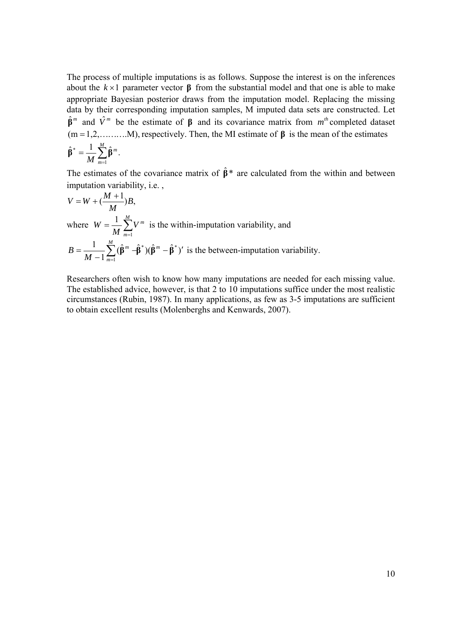The process of multiple imputations is as follows. Suppose the interest is on the inferences about the  $k \times 1$  parameter vector  $\beta$  from the substantial model and that one is able to make appropriate Bayesian posterior draws from the imputation model. Replacing the missing data by their corresponding imputation samples, M imputed data sets are constructed. Let  $\hat{\beta}^m$  and  $\hat{V}^m$  be the estimate of  $\beta$  and its covariance matrix from  $m^{th}$  completed dataset (m =1,2,……….M), respectively. Then, the MI estimate of **β** is the mean of the estimates  $\hat{\beta}^* = \frac{1}{\sqrt{2}} \sum_{n=1}^{M} \hat{\beta}^m$ . \* *m*

$$
\hat{\beta}^* = \frac{1}{M} \sum_{m=1} \hat{\beta}^m.
$$

The estimates of the covariance matrix of  $\hat{\beta}^*$  are calculated from the within and between imputation variability, i.e. ,

$$
V = W + (\frac{M+1}{M})B,
$$
  
where  $W = \frac{1}{M} \sum_{m=1}^{M} V^m$  is the within-imputation variability, and  

$$
B = \frac{1}{M-1} \sum_{m=1}^{M} (\hat{\beta}^m - \hat{\beta}^*) (\hat{\beta}^m - \hat{\beta}^*)'
$$
 is the between-imputation variability.

Researchers often wish to know how many imputations are needed for each missing value. The established advice, however, is that  $2$  to  $10$  imputations suffice under the most realistic circumstances (Rubin, 1987). In many applications, as few as 3-5 imputations are sufficient to obtain excellent results (Molenberghs and Kenwards, 2007).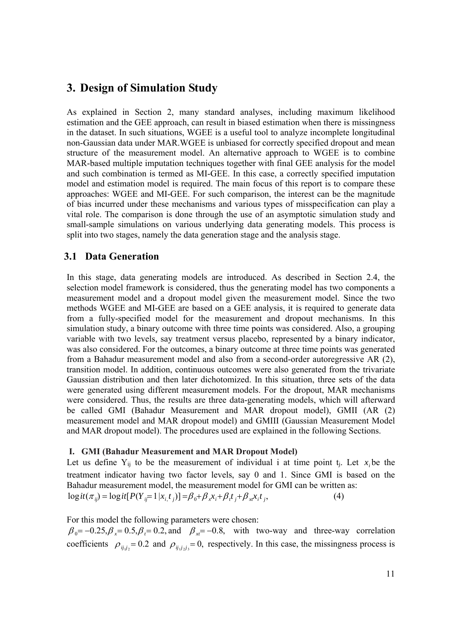# **3. Design of Simulation Study**

As explained in Section 2, many standard analyses, including maximum likelihood estimation and the GEE approach, can result in biased estimation when there is missingness in the dataset. In such situations, WGEE is a useful tool to analyze incomplete longitudinal non-Gaussian data under MAR.WGEE is unbiased for correctly specified dropout and mean structure of the measurement model. An alternative approach to WGEE is to combine MAR-based multiple imputation techniques together with final GEE analysis for the model and such combination is termed as MI-GEE. In this case, a correctly specified imputation model and estimation model is required. The main focus of this report is to compare these approaches: WGEE and MI-GEE. For such comparison, the interest can be the magnitude of bias incurred under these mechanisms and various types of misspecification can play a vital role. The comparison is done through the use of an asymptotic simulation study and small-sample simulations on various underlying data generating models. This process is split into two stages, namely the data generation stage and the analysis stage.

### **3.1 Data Generation**

In this stage, data generating models are introduced. As described in Section 2.4, the selection model framework is considered, thus the generating model has two components a measurement model and a dropout model given the measurement model. Since the two methods WGEE and MI-GEE are based on a GEE analysis, it is required to generate data from a fully-specified model for the measurement and dropout mechanisms. In this simulation study, a binary outcome with three time points was considered. Also, a grouping variable with two levels, say treatment versus placebo, represented by a binary indicator, was also considered. For the outcomes, a binary outcome at three time points was generated from a Bahadur measurement model and also from a second-order autoregressive AR (2), transition model. In addition, continuous outcomes were also generated from the trivariate Gaussian distribution and then later dichotomized. In this situation, three sets of the data were generated using different measurement models. For the dropout, MAR mechanisms were considered. Thus, the results are three data-generating models, which will afterward be called GMI (Bahadur Measurement and MAR dropout model), GMII (AR (2) measurement model and MAR dropout model) and GMIII (Gaussian Measurement Model and MAR dropout model). The procedures used are explained in the following Sections.

#### **I. GMI (Bahadur Measurement and MAR Dropout Model)**

Let us define  $Y_{ij}$  to be the measurement of individual i at time point  $t_i$ . Let  $x_i$  be the treatment indicator having two factor levels, say 0 and 1. Since GMI is based on the Bahadur measurement model, the measurement model for GMI can be written as:  $logit(\pi_{ij}) = logit[P(Y_{ij} = 1 | x_i t_j)] = \beta_0 + \beta_x x_i + \beta_t t_j + \beta_x x_i t_j,$  (4)

For this model the following parameters were chosen:

 $\beta_0 = -0.25$ ,  $\beta_x = 0.5$ ,  $\beta_t = 0.2$ , and  $\beta_x = -0.8$ , with two-way and three-way correlation coefficients  $\rho_{ij,j} = 0.2$  and  $\rho_{ij,j,j} = 0$ , respectively. In this case, the missingness process is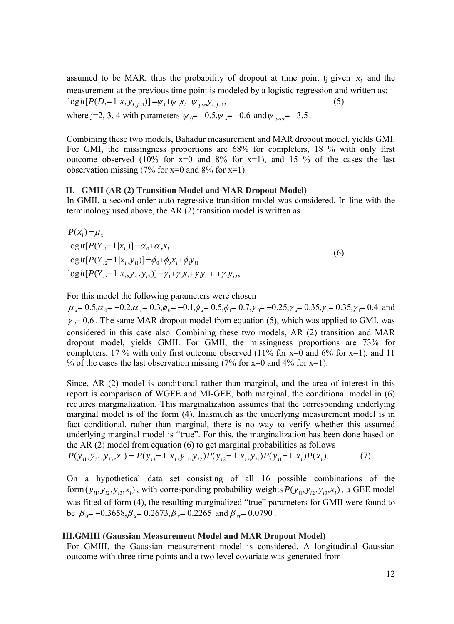assumed to be MAR, thus the probability of dropout at time point  $t_i$  given  $x_i$  and the measurement at the previous time point is modeled by a logistic regression and written as:  $\log it[P(D_i=1 | x_{i, y_{i, j-1}})] = \psi_0 + \psi_x x_i + \psi_{pre} y_{i, j-1},$  (5) where j=2, 3, 4 with parameters  $\psi_0 = -0.5, \psi_x = -0.6$  and  $\psi_{prev} = -3.5$ .

Combining these two models, Bahadur measurement and MAR dropout model, yields GMI. For GMI, the missingness proportions are 68% for completers, 18 % with only first outcome observed (10% for  $x=0$  and 8% for  $x=1$ ), and 15 % of the cases the last observation missing  $(7\%$  for x=0 and 8% for x=1).

#### **II. GMII (AR (2) Transition Model and MAR Dropout Model)**

In GMII, a second-order auto-regressive transition model was considered. In line with the terminology used above, the AR (2) transition model is written as

 $\log it[P(Y_{i3} = 1 | x_i, y_{i1}, y_{i2})] = \gamma_0 + \gamma_x x_i + \gamma_y y_{i1} + \gamma_y y_{i2},$  $\log it[P(Y_{i2}=1|x_i, y_{i1})]=\phi_0+\phi_x x_i+\phi_1 y_{i1}$  $\log it [P(Y_{i1} = 1 | x_{i})] = \alpha_0 + \alpha_x x_{i}$  $P(x_i) = \mu_x$ 

For this model the following parameters were chosen

 $\mu_x = 0.5, \alpha_0 = -0.2, \alpha_x = 0.3, \phi_0 = -0.1, \phi_x = 0.5, \phi_1 = 0.7, \gamma_0 = -0.25, \gamma_x = 0.35, \gamma_1 = 0.35, \gamma_1 = 0.4$  and  $\gamma_2$  = 0.6. The same MAR dropout model from equation (5), which was applied to GMI, was considered in this case also. Combining these two models, AR (2) transition and MAR dropout model, yields GMII. For GMII, the missingness proportions are 73% for completers, 17 % with only first outcome observed (11% for  $x=0$  and 6% for  $x=1$ ), and 11 % of the cases the last observation missing  $(7\%$  for x=0 and 4% for x=1).

Since, AR (2) model is conditional rather than marginal, and the area of interest in this report is comparison of WGEE and MI-GEE, both marginal, the conditional model in (6) requires marginalization. This marginalization assumes that the corresponding underlying marginal model is of the form (4). Inasmuch as the underlying measurement model is in fact conditional, rather than marginal, there is no way to verify whether this assumed underlying marginal model is "true". For this, the marginalization has been done based on the AR (2) model from equation (6) to get marginal probabilities as follows

$$
P(y_{i1}, y_{i2}, y_{i3}, x_i) = P(y_{i3} = 1 | x_i, y_{i1}, y_{i2}) P(y_{i2} = 1 | x_i, y_{i1}) P(y_{i1} = 1 | x_i) P(x_i).
$$
 (7)

On a hypothetical data set consisting of all 16 possible combinations of the form  $(y_{i1}, y_{i2}, y_{i3}, x_i)$ , with corresponding probability weights  $P(y_{i1}, y_{i2}, y_{i3}, x_i)$ , a GEE model was fitted of form (4), the resulting marginalized "true" parameters for GMII were found to be  $\beta_0 = -0.3658$ ,  $\beta_x = 0.2673$ ,  $\beta_x = 0.2265$  and  $\beta_{x} = 0.0790$ .

#### **III.GMIII (Gaussian Measurement Model and MAR Dropout Model)**

For GMIII, the Gaussian measurement model is considered. A longitudinal Gaussian outcome with three time points and a two level covariate was generated from

(6)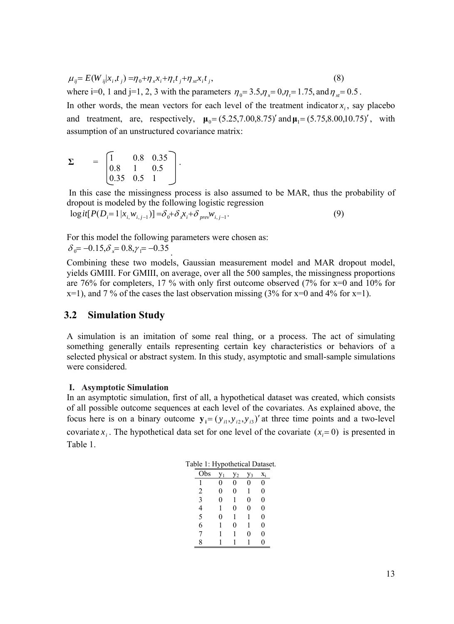$$
\mu_{ij} = E(W_{ij}|x_i, t_j) = \eta_0 + \eta_x x_i + \eta_t t_j + \eta_{xt} x_i t_j,
$$
\n(8)

where i=0, 1 and j=1, 2, 3 with the parameters  $\eta_0 = 3.5, \eta_x = 0, \eta_t = 1.75$ , and  $\eta_{xt} = 0.5$ .

In other words, the mean vectors for each level of the treatment indicator  $x_i$ , say placebo and treatment, are, respectively,  $\mu_0 = (5.25, 7.00, 8.75)$  and  $\mu_1 = (5.75, 8.00, 10.75)$ , with assumption of an unstructured covariance matrix:

$$
\Sigma = \begin{bmatrix} 1 & 0.8 & 0.35 \\ 0.8 & 1 & 0.5 \\ 0.35 & 0.5 & 1 \end{bmatrix}.
$$

 In this case the missingness process is also assumed to be MAR, thus the probability of dropout is modeled by the following logistic regression

 $logit[P(D_i=1 | x_{i,1}, w_{i,j-1})] = \delta_0 + \delta_x x_i + \delta_{prev} w_{i,j-1}.$  (9)

For this model the following parameters were chosen as:  $\delta_0 = -0.15, \delta_x = 0.8, \gamma_1 = -0.35$ .

Combining these two models, Gaussian measurement model and MAR dropout model, yields GMIII. For GMIII, on average, over all the 500 samples, the missingness proportions are 76% for completers, 17 % with only first outcome observed (7% for x=0 and 10% for  $x=1$ , and 7 % of the cases the last observation missing (3% for  $x=0$  and 4% for  $x=1$ ).

#### **3.2 Simulation Study**

A simulation is an imitation of some real thing, or a process. The act of simulating something generally entails representing certain key characteristics or behaviors of a selected physical or abstract system. In this study, asymptotic and small-sample simulations were considered.

#### **I. Asymptotic Simulation**

In an asymptotic simulation, first of all, a hypothetical dataset was created, which consists of all possible outcome sequences at each level of the covariates. As explained above, the focus here is on a binary outcome  $y_i = (y_{i1}, y_{i2}, y_{i3})'$  at three time points and a two-level covariate  $x_i$ . The hypothetical data set for one level of the covariate  $(x_i = 0)$  is presented in Table 1.

| Obs            |   | 72 | $V_3$ | $X_i$ |
|----------------|---|----|-------|-------|
|                | 0 | 0  | 0     | 0     |
| $\overline{2}$ | 0 | 0  | 1     | 0     |
| 3              | 0 | 1  | 0     | 0     |
| 4              | 1 | 0  | 0     | 0     |
| 5              | 0 | 1  | 1     | 0     |
| 6              |   | 0  | 1     | 0     |
| 7              | 1 | 1  | 0     | 0     |
| 8              |   |    |       | 0     |

| Table 1: Hypothetical Dataset. |  |
|--------------------------------|--|
|--------------------------------|--|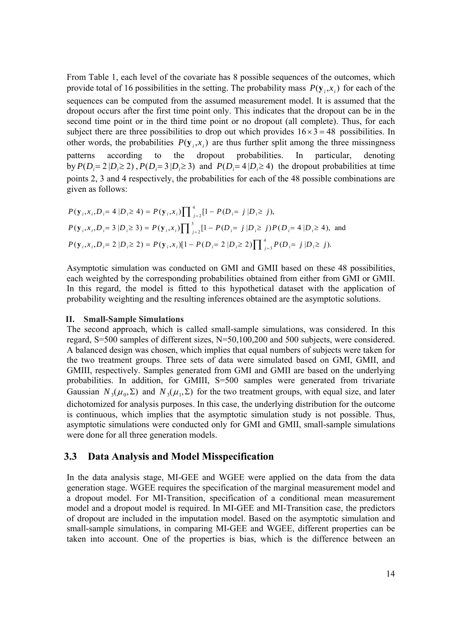From Table 1, each level of the covariate has 8 possible sequences of the outcomes, which provide total of 16 possibilities in the setting. The probability mass  $P(y_i, x_i)$  for each of the sequences can be computed from the assumed measurement model. It is assumed that the dropout occurs after the first time point only. This indicates that the dropout can be in the second time point or in the third time point or no dropout (all complete). Thus, for each subject there are three possibilities to drop out which provides  $16 \times 3 = 48$  possibilities. In other words, the probabilities  $P(\mathbf{v}_i, x_i)$  are thus further split among the three missingness patterns according to the dropout probabilities. In particular, denoting by  $P(D_i = 2 | D_i \ge 2)$ ,  $P(D_i = 3 | D_i \ge 3)$  and  $P(D_i = 4 | D_i \ge 4)$  the dropout probabilities at time points 2, 3 and 4 respectively, the probabilities for each of the 48 possible combinations are given as follows:

$$
P(\mathbf{y}_i, x_i, D_i = 4 | D_i \ge 4) = P(\mathbf{y}_i, x_i) \prod_{j=2}^4 [1 - P(D_i = j | D_i \ge j),
$$
  
\n
$$
P(\mathbf{y}_i, x_i, D_i = 3 | D_i \ge 3) = P(\mathbf{y}_i, x_i) \prod_{j=2}^3 [1 - P(D_i = j | D_i \ge j) P(D_i = 4 | D_i \ge 4),
$$
 and  
\n
$$
P(\mathbf{y}_i, x_i, D_i = 2 | D_i \ge 2) = P(\mathbf{y}_i, x_i) [1 - P(D_i = 2 | D_i \ge 2)] \prod_{j=3}^4 P(D_i = j | D_i \ge j).
$$

Asymptotic simulation was conducted on GMI and GMII based on these 48 possibilities, each weighted by the corresponding probabilities obtained from either from GMI or GMII. In this regard, the model is fitted to this hypothetical dataset with the application of probability weighting and the resulting inferences obtained are the asymptotic solutions.

#### **II. Small-Sample Simulations**

The second approach, which is called small-sample simulations, was considered. In this regard, S=500 samples of different sizes, N=50,100,200 and 500 subjects, were considered. A balanced design was chosen, which implies that equal numbers of subjects were taken for the two treatment groups. Three sets of data were simulated based on GMI, GMII, and GMIII, respectively. Samples generated from GMI and GMII are based on the underlying probabilities. In addition, for GMIII, S=500 samples were generated from trivariate Gaussian  $N_3(\mu_0, \Sigma)$  and  $N_3(\mu_1, \Sigma)$  for the two treatment groups, with equal size, and later dichotomized for analysis purposes. In this case, the underlying distribution for the outcome is continuous, which implies that the asymptotic simulation study is not possible. Thus, asymptotic simulations were conducted only for GMI and GMII, small-sample simulations were done for all three generation models.

#### **3.3 Data Analysis and Model Misspecification**

In the data analysis stage, MI-GEE and WGEE were applied on the data from the data generation stage. WGEE requires the specification of the marginal measurement model and a dropout model. For MI-Transition, specification of a conditional mean measurement model and a dropout model is required. In MI-GEE and MI-Transition case, the predictors of dropout are included in the imputation model. Based on the asymptotic simulation and small-sample simulations, in comparing MI-GEE and WGEE, different properties can be taken into account. One of the properties is bias, which is the difference between an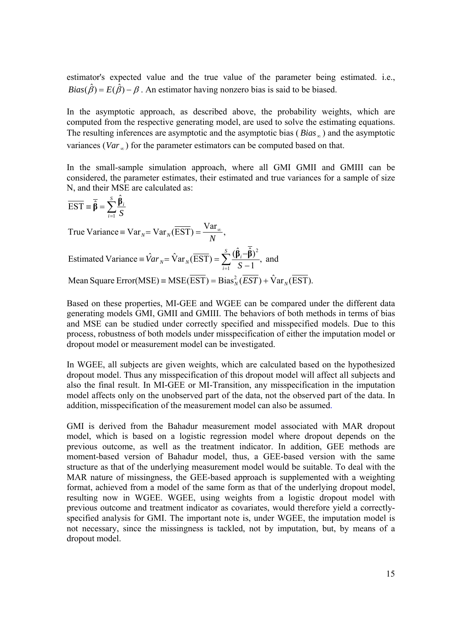estimator's expected value and the true value of the parameter being estimated. i.e.,  $Bias(\hat{\beta}) = E(\hat{\beta}) - \beta$ . An estimator having nonzero bias is said to be biased.

In the asymptotic approach, as described above, the probability weights, which are computed from the respective generating model, are used to solve the estimating equations. The resulting inferences are asymptotic and the asymptotic bias (*Bias* <sub>∞</sub>) and the asymptotic variances (*Var* <sub>∞</sub>) for the parameter estimators can be computed based on that.

In the small-sample simulation approach, where all GMI GMII and GMIII can be considered, the parameter estimates, their estimated and true variances for a sample of size N, and their MSE are calculated as:

$$
\overline{EST} = \overline{\hat{\beta}} = \sum_{i=1}^{S} \frac{\hat{\beta}_{i}}{S}
$$
  
True Variance = Var<sub>N</sub> = Var<sub>N</sub>( $\overline{EST}$ ) =  $\frac{Var_{\infty}}{N}$ ,  
Estimated Variance =  $\hat{Var}_{N} = \hat{Var}_{N}(\overline{EST}) = \sum_{i=1}^{S} \frac{(\hat{\beta}_{i} - \overline{\hat{\beta}})^{2}}{S - 1}$ , and  
Mean Square Error(MSE) = MSE( $\overline{EST}$ ) = Bias<sub>N</sub><sup>2</sup>( $\overline{EST}$ ) +  $\hat{Var}_{N}(\overline{EST})$ .

Based on these properties, MI-GEE and WGEE can be compared under the different data generating models GMI, GMII and GMIII. The behaviors of both methods in terms of bias and MSE can be studied under correctly specified and misspecified models. Due to this process, robustness of both models under misspecification of either the imputation model or dropout model or measurement model can be investigated.

In WGEE, all subjects are given weights, which are calculated based on the hypothesized dropout model. Thus any misspecification of this dropout model will affect all subjects and also the final result. In MI-GEE or MI-Transition, any misspecification in the imputation model affects only on the unobserved part of the data, not the observed part of the data. In addition, misspecification of the measurement model can also be assumed.

GMI is derived from the Bahadur measurement model associated with MAR dropout model, which is based on a logistic regression model where dropout depends on the previous outcome, as well as the treatment indicator. In addition, GEE methods are moment-based version of Bahadur model, thus, a GEE-based version with the same structure as that of the underlying measurement model would be suitable. To deal with the MAR nature of missingness, the GEE-based approach is supplemented with a weighting format, achieved from a model of the same form as that of the underlying dropout model, resulting now in WGEE. WGEE, using weights from a logistic dropout model with previous outcome and treatment indicator as covariates, would therefore yield a correctlyspecified analysis for GMI. The important note is, under WGEE, the imputation model is not necessary, since the missingness is tackled, not by imputation, but, by means of a dropout model.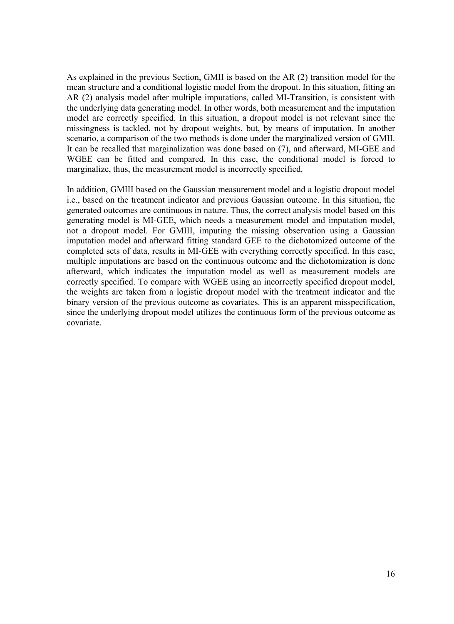As explained in the previous Section, GMII is based on the AR (2) transition model for the mean structure and a conditional logistic model from the dropout. In this situation, fitting an AR (2) analysis model after multiple imputations, called MI-Transition, is consistent with the underlying data generating model. In other words, both measurement and the imputation model are correctly specified. In this situation, a dropout model is not relevant since the missingness is tackled, not by dropout weights, but, by means of imputation. In another scenario, a comparison of the two methods is done under the marginalized version of GMII. It can be recalled that marginalization was done based on (7), and afterward, MI-GEE and WGEE can be fitted and compared. In this case, the conditional model is forced to marginalize, thus, the measurement model is incorrectly specified.

In addition, GMIII based on the Gaussian measurement model and a logistic dropout model i.e., based on the treatment indicator and previous Gaussian outcome. In this situation, the generated outcomes are continuous in nature. Thus, the correct analysis model based on this generating model is MI-GEE, which needs a measurement model and imputation model, not a dropout model. For GMIII, imputing the missing observation using a Gaussian imputation model and afterward fitting standard GEE to the dichotomized outcome of the completed sets of data, results in MI-GEE with everything correctly specified. In this case, multiple imputations are based on the continuous outcome and the dichotomization is done afterward, which indicates the imputation model as well as measurement models are correctly specified. To compare with WGEE using an incorrectly specified dropout model, the weights are taken from a logistic dropout model with the treatment indicator and the binary version of the previous outcome as covariates. This is an apparent misspecification, since the underlying dropout model utilizes the continuous form of the previous outcome as covariate.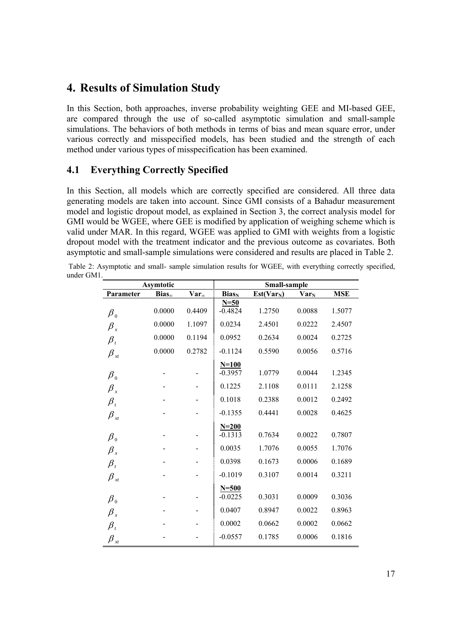## **4. Results of Simulation Study**

In this Section, both approaches, inverse probability weighting GEE and MI-based GEE, are compared through the use of so-called asymptotic simulation and small-sample simulations. The behaviors of both methods in terms of bias and mean square error, under various correctly and misspecified models, has been studied and the strength of each method under various types of misspecification has been examined.

### **4.1 Everything Correctly Specified**

In this Section, all models which are correctly specified are considered. All three data generating models are taken into account. Since GMI consists of a Bahadur measurement model and logistic dropout model, as explained in Section 3, the correct analysis model for GMI would be WGEE, where GEE is modified by application of weighing scheme which is valid under MAR. In this regard, WGEE was applied to GMI with weights from a logistic dropout model with the treatment indicator and the previous outcome as covariates. Both asymptotic and small-sample simulations were considered and results are placed in Table 2.

 Table 2: Asymptotic and small- sample simulation results for WGEE, with everything correctly specified, under GM1.

|                                           | <b>Asymtotic</b> |                |                          | Small-sample |                         |            |
|-------------------------------------------|------------------|----------------|--------------------------|--------------|-------------------------|------------|
| Parameter                                 | $Bias_{\infty}$  | $Var_{\infty}$ | <b>Bias</b> <sub>N</sub> | $Est(Var_N)$ | <b>Var</b> <sub>N</sub> | <b>MSE</b> |
|                                           |                  |                | $N=50$                   |              |                         |            |
| $\beta_{0}$                               | 0.0000           | 0.4409         | $-0.4824$                | 1.2750       | 0.0088                  | 1.5077     |
| $\beta_{\rm x}$                           | 0.0000           | 1.1097         | 0.0234                   | 2.4501       | 0.0222                  | 2.4507     |
| $\beta_{t}$                               | 0.0000           | 0.1194         | 0.0952                   | 0.2634       | 0.0024                  | 0.2725     |
| $\beta_{xt}$                              | 0.0000           | 0.2782         | $-0.1124$                | 0.5590       | 0.0056                  | 0.5716     |
|                                           |                  |                | $N=100$                  |              |                         |            |
| $\pmb{\beta}_0$                           |                  |                | $-0.3957$                | 1.0779       | 0.0044                  | 1.2345     |
| $\beta_{\rm x}$                           |                  |                | 0.1225                   | 2.1108       | 0.0111                  | 2.1258     |
| $\beta_{t}$                               |                  |                | 0.1018                   | 0.2388       | 0.0012                  | 0.2492     |
| $\beta_{\scriptscriptstyle \tiny \chi t}$ |                  |                | $-0.1355$                | 0.4441       | 0.0028                  | 0.4625     |
|                                           |                  |                | $N = 200$                |              |                         |            |
| $\pmb{\beta}_0$                           |                  |                | $-0.1313$                | 0.7634       | 0.0022                  | 0.7807     |
| $\beta_{\rm x}$                           |                  |                | 0.0035                   | 1.7076       | 0.0055                  | 1.7076     |
| $\pmb{\beta}_t$                           |                  |                | 0.0398                   | 0.1673       | 0.0006                  | 0.1689     |
| $\beta_{xt}$                              |                  |                | $-0.1019$                | 0.3107       | 0.0014                  | 0.3211     |
|                                           |                  |                | $N = 500$                |              |                         |            |
| $\pmb{\beta}_0$                           |                  |                | $-0.0225$                | 0.3031       | 0.0009                  | 0.3036     |
| $\beta_{x}$                               |                  |                | 0.0407                   | 0.8947       | 0.0022                  | 0.8963     |
| $\beta_{_t}$                              |                  |                | 0.0002                   | 0.0662       | 0.0002                  | 0.0662     |
| $\beta_{xt}$                              |                  |                | $-0.0557$                | 0.1785       | 0.0006                  | 0.1816     |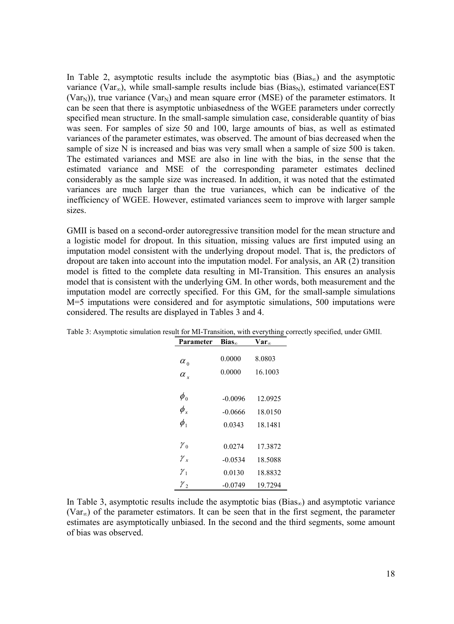In Table 2, asymptotic results include the asymptotic bias (Bias<sub>∞</sub>) and the asymptotic variance (Var<sub>∞</sub>), while small-sample results include bias (Bias<sub>N</sub>), estimated variance(EST (Var<sub>N</sub>)), true variance (Var<sub>N</sub>) and mean square error (MSE) of the parameter estimators. It can be seen that there is asymptotic unbiasedness of the WGEE parameters under correctly specified mean structure. In the small-sample simulation case, considerable quantity of bias was seen. For samples of size 50 and 100, large amounts of bias, as well as estimated variances of the parameter estimates, was observed. The amount of bias decreased when the sample of size N is increased and bias was very small when a sample of size 500 is taken. The estimated variances and MSE are also in line with the bias, in the sense that the estimated variance and MSE of the corresponding parameter estimates declined considerably as the sample size was increased. In addition, it was noted that the estimated variances are much larger than the true variances, which can be indicative of the inefficiency of WGEE. However, estimated variances seem to improve with larger sample sizes.

GMII is based on a second-order autoregressive transition model for the mean structure and a logistic model for dropout. In this situation, missing values are first imputed using an imputation model consistent with the underlying dropout model. That is, the predictors of dropout are taken into account into the imputation model. For analysis, an AR (2) transition model is fitted to the complete data resulting in MI-Transition. This ensures an analysis model that is consistent with the underlying GM. In other words, both measurement and the imputation model are correctly specified. For this GM, for the small-sample simulations M=5 imputations were considered and for asymptotic simulations, 500 imputations were considered. The results are displayed in Tables 3 and 4.

| Parameter                       | $Bias_{\infty}$ | $Var_{\infty}$ |
|---------------------------------|-----------------|----------------|
|                                 | 0.0000          | 8.0803         |
| $\alpha_{\scriptscriptstyle 0}$ | 0.0000          | 16.1003        |
| $\alpha_{r}$                    |                 |                |
| $\phi_{\scriptscriptstyle 0}$   |                 |                |
|                                 | $-0.0096$       | 12.0925        |
| $\phi_{\rm x}$                  | $-0.0666$       | 18.0150        |
| $\phi_{1}$                      | 0.0343          | 18.1481        |
|                                 |                 |                |
| $\gamma_{0}$                    | 0.0274          | 17.3872        |
| $\gamma_{x}$                    | $-0.0534$       | 18.5088        |
| $\gamma_{1}$                    | 0.0130          | 18.8832        |
| $\gamma$ 2                      | -0.0749         | 19.7294        |

Table 3: Asymptotic simulation result for MI-Transition, with everything correctly specified, under GMII.

In Table 3, asymptotic results include the asymptotic bias (Bias<sub>∞</sub>) and asymptotic variance (Var∞) of the parameter estimators. It can be seen that in the first segment, the parameter estimates are asymptotically unbiased. In the second and the third segments, some amount of bias was observed.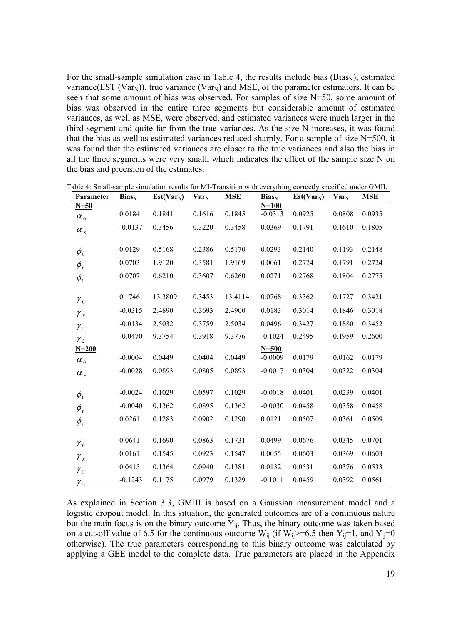For the small-sample simulation case in Table 4, the results include bias ( $Bias_N$ ), estimated variance(EST (Var<sub>N</sub>)), true variance (Var<sub>N</sub>) and MSE, of the parameter estimators. It can be seen that some amount of bias was observed. For samples of size N=50, some amount of bias was observed in the entire three segments but considerable amount of estimated variances, as well as MSE, were observed, and estimated variances were much larger in the third segment and quite far from the true variances. As the size N increases, it was found that the bias as well as estimated variances reduced sharply. For a sample of size N=500, it was found that the estimated variances are closer to the true variances and also the bias in all the three segments were very small, which indicates the effect of the sample size N on the bias and precision of the estimates.

| Parameter                     | $Bias_N$  | $Est(Var_N)$ | <b>Var</b> <sub>N</sub> | <b>MSE</b> | $Bias_N$  | $Est(Var_N)$ | <b>Var</b> <sub>N</sub> | <b>MSE</b> |
|-------------------------------|-----------|--------------|-------------------------|------------|-----------|--------------|-------------------------|------------|
| $N=50$                        |           |              |                         |            | $N = 100$ |              |                         |            |
| $\alpha_{0}$                  | 0.0184    | 0.1841       | 0.1616                  | 0.1845     | $-0.0313$ | 0.0925       | 0.0808                  | 0.0935     |
| $\alpha_{\rm x}$              | $-0.0137$ | 0.3456       | 0.3220                  | 0.3458     | 0.0369    | 0.1791       | 0.1610                  | 0.1805     |
|                               |           |              |                         |            |           |              |                         |            |
| $\phi_{\scriptscriptstyle 0}$ | 0.0129    | 0.5168       | 0.2386                  | 0.5170     | 0.0293    | 0.2140       | 0.1193                  | 0.2148     |
| $\phi_{_t}$                   | 0.0703    | 1.9120       | 0.3581                  | 1.9169     | 0.0061    | 0.2724       | 0.1791                  | 0.2724     |
| $\phi_{1}$                    | 0.0707    | 0.6210       | 0.3607                  | 0.6260     | 0.0271    | 0.2768       | 0.1804                  | 0.2775     |
|                               |           |              |                         |            |           |              |                         |            |
| $\gamma_{0}$                  | 0.1746    | 13.3809      | 0.3453                  | 13.4114    | 0.0768    | 0.3362       | 0.1727                  | 0.3421     |
| $\gamma_{x}$                  | $-0.0315$ | 2.4890       | 0.3693                  | 2.4900     | 0.0183    | 0.3014       | 0.1846                  | 0.3018     |
| $\gamma_1$                    | $-0.0134$ | 2.5032       | 0.3759                  | 2.5034     | 0.0496    | 0.3427       | 0.1880                  | 0.3452     |
| $\gamma_{2}$                  | $-0.0470$ | 9.3754       | 0.3918                  | 9.3776     | $-0.1024$ | 0.2495       | 0.1959                  | 0.2600     |
| $N = 200$                     |           |              |                         |            | $N = 500$ |              |                         |            |
| $\alpha_{0}$                  | $-0.0004$ | 0.0449       | 0.0404                  | 0.0449     | $-0.0009$ | 0.0179       | 0.0162                  | 0.0179     |
| $\alpha_{\rm x}$              | $-0.0028$ | 0.0893       | 0.0805                  | 0.0893     | $-0.0017$ | 0.0304       | 0.0322                  | 0.0304     |
|                               |           |              |                         |            |           |              |                         |            |
| $\phi_{0}$                    | $-0.0024$ | 0.1029       | 0.0597                  | 0.1029     | $-0.0018$ | 0.0401       | 0.0239                  | 0.0401     |
| $\phi_{_t}$                   | $-0.0040$ | 0.1362       | 0.0895                  | 0.1362     | $-0.0030$ | 0.0458       | 0.0358                  | 0.0458     |
| $\phi_{1}$                    | 0.0261    | 0.1283       | 0.0902                  | 0.1290     | 0.0121    | 0.0507       | 0.0361                  | 0.0509     |
|                               |           |              |                         |            |           |              |                         |            |
| $\gamma_{0}$                  | 0.0641    | 0.1690       | 0.0863                  | 0.1731     | 0.0499    | 0.0676       | 0.0345                  | 0.0701     |
| $\gamma_{x}$                  | 0.0161    | 0.1545       | 0.0923                  | 0.1547     | 0.0055    | 0.0603       | 0.0369                  | 0.0603     |
| $\mathcal{Y}_1$               | 0.0415    | 0.1364       | 0.0940                  | 0.1381     | 0.0132    | 0.0531       | 0.0376                  | 0.0533     |
| $\gamma_{2}$                  | $-0.1243$ | 0.1175       | 0.0979                  | 0.1329     | $-0.1011$ | 0.0459       | 0.0392                  | 0.0561     |

Table 4: Small-sample simulation results for MI-Transition with everything correctly specified under GMII.

As explained in Section 3.3, GMIII is based on a Gaussian measurement model and a logistic dropout model. In this situation, the generated outcomes are of a continuous nature but the main focus is on the binary outcome  $\bar{Y}_{ij}$ . Thus, the binary outcome was taken based on a cut-off value of 6.5 for the continuous outcome  $W_{ij}$  (if  $W_{ij}$  >=6.5 then  $Y_{ij}$ =1, and  $Y_{ij}$ =0 otherwise). The true parameters corresponding to this binary outcome was calculated by applying a GEE model to the complete data. True parameters are placed in the Appendix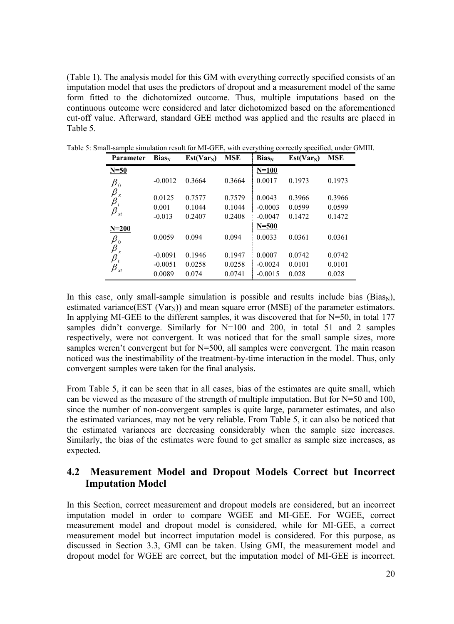(Table 1). The analysis model for this GM with everything correctly specified consists of an imputation model that uses the predictors of dropout and a measurement model of the same form fitted to the dichotomized outcome. Thus, multiple imputations based on the continuous outcome were considered and later dichotomized based on the aforementioned cut-off value. Afterward, standard GEE method was applied and the results are placed in Table 5.

| <b>Parameter</b>                               | $Bias_N$  | $Est(Var_N)$ | <b>MSE</b> | $Bias_N$  | $Est(Var_N)$ | <b>MSE</b> |
|------------------------------------------------|-----------|--------------|------------|-----------|--------------|------------|
| $N=50$                                         |           |              |            | $N=100$   |              |            |
| $\pmb{\beta}_0$                                | $-0.0012$ | 0.3664       | 0.3664     | 0.0017    | 0.1973       | 0.1973     |
| $\beta$<br>$\boldsymbol{x}$<br>$\pmb{\beta}_t$ | 0.0125    | 0.7577       | 0.7579     | 0.0043    | 0.3966       | 0.3966     |
| $\beta_{\scriptscriptstyle \mathit{xt}}$       | 0.001     | 0.1044       | 0.1044     | $-0.0003$ | 0.0599       | 0.0599     |
|                                                | $-0.013$  | 0.2407       | 0.2408     | $-0.0047$ | 0.1472       | 0.1472     |
| $N = 200$                                      |           |              |            | $N = 500$ |              |            |
| $\pmb{\beta}_0$                                | 0.0059    | 0.094        | 0.094      | 0.0033    | 0.0361       | 0.0361     |
| $\beta$<br>$\boldsymbol{x}$<br>$\pmb{\beta}_t$ | $-0.0091$ | 0.1946       | 0.1947     | 0.0007    | 0.0742       | 0.0742     |
| $\beta$                                        | $-0.0051$ | 0.0258       | 0.0258     | $-0.0024$ | 0.0101       | 0.0101     |
| xt                                             | 0.0089    | 0.074        | 0.0741     | $-0.0015$ | 0.028        | 0.028      |

Table 5: Small-sample simulation result for MI-GEE, with everything correctly specified, under GMIII.

In this case, only small-sample simulation is possible and results include bias (Bias<sub>N</sub>), estimated variance(EST (Var<sub>N</sub>)) and mean square error (MSE) of the parameter estimators. In applying MI-GEE to the different samples, it was discovered that for  $N=50$ , in total 177 samples didn't converge. Similarly for N=100 and 200, in total 51 and 2 samples respectively, were not convergent. It was noticed that for the small sample sizes, more samples weren't convergent but for N=500, all samples were convergent. The main reason noticed was the inestimability of the treatment-by-time interaction in the model. Thus, only convergent samples were taken for the final analysis.

From Table 5, it can be seen that in all cases, bias of the estimates are quite small, which can be viewed as the measure of the strength of multiple imputation. But for N=50 and 100, since the number of non-convergent samples is quite large, parameter estimates, and also the estimated variances, may not be very reliable. From Table 5, it can also be noticed that the estimated variances are decreasing considerably when the sample size increases. Similarly, the bias of the estimates were found to get smaller as sample size increases, as expected.

## **4.2 Measurement Model and Dropout Models Correct but Incorrect Imputation Model**

In this Section, correct measurement and dropout models are considered, but an incorrect imputation model in order to compare WGEE and MI-GEE. For WGEE, correct measurement model and dropout model is considered, while for MI-GEE, a correct measurement model but incorrect imputation model is considered. For this purpose, as discussed in Section 3.3, GMI can be taken. Using GMI, the measurement model and dropout model for WGEE are correct, but the imputation model of MI-GEE is incorrect.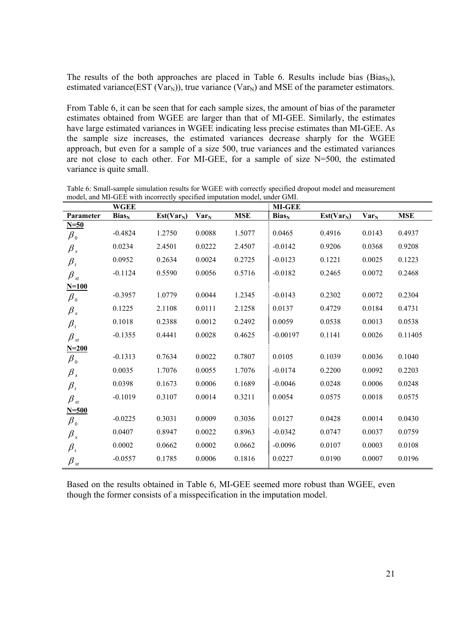The results of the both approaches are placed in Table 6. Results include bias  $(Bias_N)$ , estimated variance(EST (Var<sub>N</sub>)), true variance (Var<sub>N</sub>) and MSE of the parameter estimators.

From Table 6, it can be seen that for each sample sizes, the amount of bias of the parameter estimates obtained from WGEE are larger than that of MI-GEE. Similarly, the estimates have large estimated variances in WGEE indicating less precise estimates than MI-GEE. As the sample size increases, the estimated variances decrease sharply for the WGEE approach, but even for a sample of a size 500, true variances and the estimated variances are not close to each other. For MI-GEE, for a sample of size  $N=500$ , the estimated variance is quite small.

|                                          | <b>WGEE</b> |              |         |            | <b>MI-GEE</b> |              |         |            |
|------------------------------------------|-------------|--------------|---------|------------|---------------|--------------|---------|------------|
| Parameter                                | $Bias_N$    | $Est(Var_N)$ | $Var_N$ | <b>MSE</b> | $Bias_N$      | $Est(Var_N)$ | $Var_N$ | <b>MSE</b> |
| $N=50$                                   |             |              |         |            |               |              |         |            |
| $\beta_{\scriptscriptstyle 0}$           | $-0.4824$   | 1.2750       | 0.0088  | 1.5077     | 0.0465        | 0.4916       | 0.0143  | 0.4937     |
| $\beta_{\rm x}$                          | 0.0234      | 2.4501       | 0.0222  | 2.4507     | $-0.0142$     | 0.9206       | 0.0368  | 0.9208     |
| $\beta_{_t}$                             | 0.0952      | 0.2634       | 0.0024  | 0.2725     | $-0.0123$     | 0.1221       | 0.0025  | 0.1223     |
| $\beta_{\scriptscriptstyle \mathit{xt}}$ | $-0.1124$   | 0.5590       | 0.0056  | 0.5716     | $-0.0182$     | 0.2465       | 0.0072  | 0.2468     |
| $N=100$                                  |             |              |         |            |               |              |         |            |
| $\pmb{\beta}_0$                          | $-0.3957$   | 1.0779       | 0.0044  | 1.2345     | $-0.0143$     | 0.2302       | 0.0072  | 0.2304     |
| $\beta_{\rm x}$                          | 0.1225      | 2.1108       | 0.0111  | 2.1258     | 0.0137        | 0.4729       | 0.0184  | 0.4731     |
| $\beta_{_t}$                             | 0.1018      | 0.2388       | 0.0012  | 0.2492     | 0.0059        | 0.0538       | 0.0013  | 0.0538     |
| $\beta_{xt}$                             | $-0.1355$   | 0.4441       | 0.0028  | 0.4625     | $-0.00197$    | 0.1141       | 0.0026  | 0.11405    |
| $N = 200$                                |             |              |         |            |               |              |         |            |
| $\beta_0$                                | $-0.1313$   | 0.7634       | 0.0022  | 0.7807     | 0.0105        | 0.1039       | 0.0036  | 0.1040     |
| $\beta_{\scriptscriptstyle x}$           | 0.0035      | 1.7076       | 0.0055  | 1.7076     | $-0.0174$     | 0.2200       | 0.0092  | 0.2203     |
| $\beta_{_t}$                             | 0.0398      | 0.1673       | 0.0006  | 0.1689     | $-0.0046$     | 0.0248       | 0.0006  | 0.0248     |
| $\beta_{\scriptscriptstyle \mathit{xt}}$ | $-0.1019$   | 0.3107       | 0.0014  | 0.3211     | 0.0054        | 0.0575       | 0.0018  | 0.0575     |
| $N = 500$                                |             |              |         |            |               |              |         |            |
| $\beta_{\scriptscriptstyle 0}$           | $-0.0225$   | 0.3031       | 0.0009  | 0.3036     | 0.0127        | 0.0428       | 0.0014  | 0.0430     |
| $\beta_{\rm x}$                          | 0.0407      | 0.8947       | 0.0022  | 0.8963     | $-0.0342$     | 0.0747       | 0.0037  | 0.0759     |
| $\beta_{_t}$                             | 0.0002      | 0.0662       | 0.0002  | 0.0662     | $-0.0096$     | 0.0107       | 0.0003  | 0.0108     |
| $\beta_{xt}$                             | $-0.0557$   | 0.1785       | 0.0006  | 0.1816     | 0.0227        | 0.0190       | 0.0007  | 0.0196     |

Table 6: Small-sample simulation results for WGEE with correctly specified dropout model and measurement model, and MI-GEE with incorrectly specified imputation model, under GMI.

Based on the results obtained in Table 6, MI-GEE seemed more robust than WGEE, even though the former consists of a misspecification in the imputation model.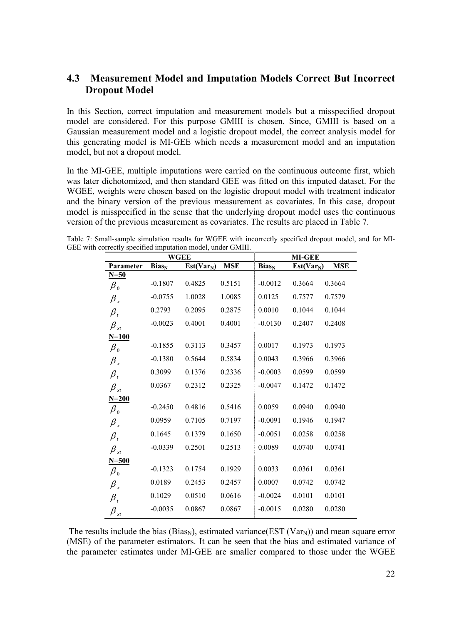### **4.3 Measurement Model and Imputation Models Correct But Incorrect Dropout Model**

In this Section, correct imputation and measurement models but a misspecified dropout model are considered. For this purpose GMIII is chosen. Since, GMIII is based on a Gaussian measurement model and a logistic dropout model, the correct analysis model for this generating model is MI-GEE which needs a measurement model and an imputation model, but not a dropout model.

In the MI-GEE, multiple imputations were carried on the continuous outcome first, which was later dichotomized, and then standard GEE was fitted on this imputed dataset. For the WGEE, weights were chosen based on the logistic dropout model with treatment indicator and the binary version of the previous measurement as covariates. In this case, dropout model is misspecified in the sense that the underlying dropout model uses the continuous version of the previous measurement as covariates. The results are placed in Table 7.

Table 7: Small-sample simulation results for WGEE with incorrectly specified dropout model, and for MI-GEE with correctly specified imputation model, under GMIII.

|                             | WGEE                     | <b>MI-GEE</b> |            |                          |              |            |
|-----------------------------|--------------------------|---------------|------------|--------------------------|--------------|------------|
| Parameter                   | <b>Bias</b> <sub>N</sub> | $Est(Var_N)$  | <b>MSE</b> | <b>Bias</b> <sub>N</sub> | $Est(Var_N)$ | <b>MSE</b> |
| $N=50$                      |                          |               |            |                          |              |            |
| $\pmb{\beta}_0$             | $-0.1807$                | 0.4825        | 0.5151     | $-0.0012$                | 0.3664       | 0.3664     |
| $\beta_{\rm x}$             | $-0.0755$                | 1.0028        | 1.0085     | 0.0125                   | 0.7577       | 0.7579     |
| $\pmb{\beta}_t$             | 0.2793                   | 0.2095        | 0.2875     | 0.0010                   | 0.1044       | 0.1044     |
| $\beta_{xt}$                | $-0.0023$                | 0.4001        | 0.4001     | $-0.0130$                | 0.2407       | 0.2408     |
| $N=100$                     |                          |               |            |                          |              |            |
| $\pmb{\beta}_0$             | $-0.1855$                | 0.3113        | 0.3457     | 0.0017                   | 0.1973       | 0.1973     |
| $\beta_{\tiny{x}}$          | $-0.1380$                | 0.5644        | 0.5834     | 0.0043                   | 0.3966       | 0.3966     |
| $\pmb{\beta}_t$             | 0.3099                   | 0.1376        | 0.2336     | $-0.0003$                | 0.0599       | 0.0599     |
| $\pmb{\beta}_{\mathit{xt}}$ | 0.0367                   | 0.2312        | 0.2325     | $-0.0047$                | 0.1472       | 0.1472     |
| $N = 200$                   |                          |               |            |                          |              |            |
| $\pmb{\beta}_0$             | $-0.2450$                | 0.4816        | 0.5416     | 0.0059                   | 0.0940       | 0.0940     |
| $\pmb{\beta}_x$             | 0.0959                   | 0.7105        | 0.7197     | $-0.0091$                | 0.1946       | 0.1947     |
| $\pmb{\beta}_t$             | 0.1645                   | 0.1379        | 0.1650     | $-0.0051$                | 0.0258       | 0.0258     |
| $\pmb{\beta}_{\mathit{xt}}$ | $-0.0339$                | 0.2501        | 0.2513     | 0.0089                   | 0.0740       | 0.0741     |
| $N = 500$                   |                          |               |            |                          |              |            |
| $\pmb{\beta}_0$             | $-0.1323$                | 0.1754        | 0.1929     | 0.0033                   | 0.0361       | 0.0361     |
| $\pmb{\beta}_x$             | 0.0189                   | 0.2453        | 0.2457     | 0.0007                   | 0.0742       | 0.0742     |
| $\pmb{\beta}_t$             | 0.1029                   | 0.0510        | 0.0616     | $-0.0024$                | 0.0101       | 0.0101     |
| β<br>xt                     | $-0.0035$                | 0.0867        | 0.0867     | $-0.0015$                | 0.0280       | 0.0280     |

The results include the bias (Bias<sub>N</sub>), estimated variance(EST (Var<sub>N</sub>)) and mean square error (MSE) of the parameter estimators. It can be seen that the bias and estimated variance of the parameter estimates under MI-GEE are smaller compared to those under the WGEE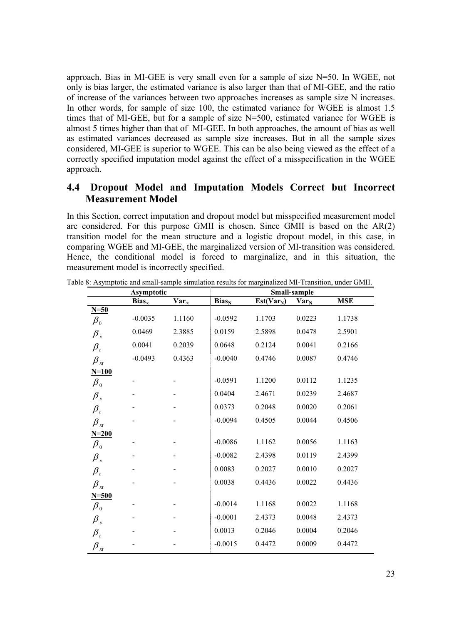approach. Bias in MI-GEE is very small even for a sample of size N=50. In WGEE, not only is bias larger, the estimated variance is also larger than that of MI-GEE, and the ratio of increase of the variances between two approaches increases as sample size N increases. In other words, for sample of size 100, the estimated variance for WGEE is almost 1.5 times that of MI-GEE, but for a sample of size N=500, estimated variance for WGEE is almost 5 times higher than that of MI-GEE. In both approaches, the amount of bias as well as estimated variances decreased as sample size increases. But in all the sample sizes considered, MI-GEE is superior to WGEE. This can be also being viewed as the effect of a correctly specified imputation model against the effect of a misspecification in the WGEE approach.

## **4.4 Dropout Model and Imputation Models Correct but Incorrect Measurement Model**

In this Section, correct imputation and dropout model but misspecified measurement model are considered. For this purpose GMII is chosen. Since GMII is based on the AR(2) transition model for the mean structure and a logistic dropout model, in this case, in comparing WGEE and MI-GEE, the marginalized version of MI-transition was considered. Hence, the conditional model is forced to marginalize, and in this situation, the measurement model is incorrectly specified.

|                                | <b>Asymptotic</b> |                |            | Small-sample |                         |            |  |  |
|--------------------------------|-------------------|----------------|------------|--------------|-------------------------|------------|--|--|
|                                | $Bias_{\infty}$   | $Var_{\infty}$ | $Bias_{N}$ | $Est(Var_N)$ | <b>Var</b> <sub>N</sub> | <b>MSE</b> |  |  |
| $N=50$                         |                   |                |            |              |                         |            |  |  |
| $\pmb{\beta}_0$                | $-0.0035$         | 1.1160         | $-0.0592$  | 1.1703       | 0.0223                  | 1.1738     |  |  |
| $\beta_x$                      | 0.0469            | 2.3885         | 0.0159     | 2.5898       | 0.0478                  | 2.5901     |  |  |
| $\beta_{t}$                    | 0.0041            | 0.2039         | 0.0648     | 0.2124       | 0.0041                  | 0.2166     |  |  |
| $\pmb{\beta}_{\mathit{xt}}$    | $-0.0493$         | 0.4363         | $-0.0040$  | 0.4746       | 0.0087                  | 0.4746     |  |  |
| $N=100$                        |                   |                |            |              |                         |            |  |  |
| $\pmb{\beta}_0$                |                   |                | $-0.0591$  | 1.1200       | 0.0112                  | 1.1235     |  |  |
| $\beta_x$                      |                   |                | 0.0404     | 2.4671       | 0.0239                  | 2.4687     |  |  |
| $\beta_{t}$                    |                   |                | 0.0373     | 0.2048       | 0.0020                  | 0.2061     |  |  |
| $\pmb{\beta}_{\mathit{xt}}$    |                   |                | $-0.0094$  | 0.4505       | 0.0044                  | 0.4506     |  |  |
| $N = 200$                      |                   |                |            |              |                         |            |  |  |
| $\beta_{\scriptscriptstyle 0}$ |                   |                | $-0.0086$  | 1.1162       | 0.0056                  | 1.1163     |  |  |
| $\beta_{\scriptscriptstyle x}$ |                   |                | $-0.0082$  | 2.4398       | 0.0119                  | 2.4399     |  |  |
| $\pmb{\beta}_t$                |                   |                | 0.0083     | 0.2027       | 0.0010                  | 0.2027     |  |  |
| $\beta_{\tiny \textit{xt}}$    |                   |                | 0.0038     | 0.4436       | 0.0022                  | 0.4436     |  |  |
| $N=500$                        |                   |                |            |              |                         |            |  |  |
| $\pmb{\beta}_0$                |                   |                | $-0.0014$  | 1.1168       | 0.0022                  | 1.1168     |  |  |
| $\beta_{\tiny{x}}$             |                   |                | $-0.0001$  | 2.4373       | 0.0048                  | 2.4373     |  |  |
| $\pmb{\beta}_t$                |                   |                | 0.0013     | 0.2046       | 0.0004                  | 0.2046     |  |  |
| $\beta_{\tiny \textit{xt}}$    |                   |                | $-0.0015$  | 0.4472       | 0.0009                  | 0.4472     |  |  |

Table 8: Asymptotic and small-sample simulation results for marginalized MI-Transition, under GMII.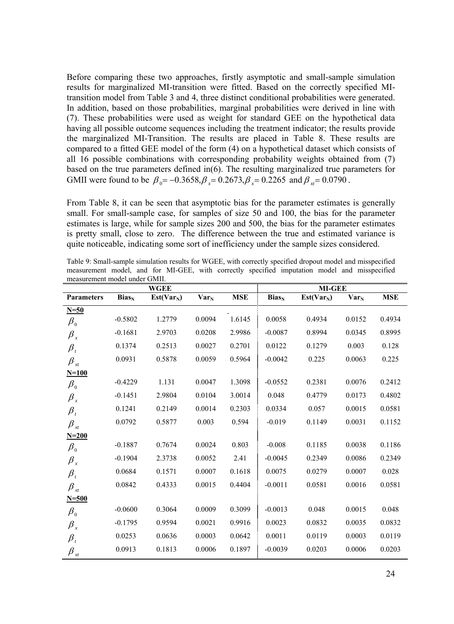Before comparing these two approaches, firstly asymptotic and small-sample simulation results for marginalized MI-transition were fitted. Based on the correctly specified MItransition model from Table 3 and 4, three distinct conditional probabilities were generated. In addition, based on those probabilities, marginal probabilities were derived in line with (7). These probabilities were used as weight for standard GEE on the hypothetical data having all possible outcome sequences including the treatment indicator; the results provide the marginalized MI-Transition. The results are placed in Table 8. These results are compared to a fitted GEE model of the form (4) on a hypothetical dataset which consists of all 16 possible combinations with corresponding probability weights obtained from (7) based on the true parameters defined in(6). The resulting marginalized true parameters for GMII were found to be  $\beta_0 = -0.3658$ ,  $\beta_0 = 0.2673$ ,  $\beta_0 = 0.2265$  and  $\beta_0 = 0.0790$ .

From Table 8, it can be seen that asymptotic bias for the parameter estimates is generally small. For small-sample case, for samples of size 50 and 100, the bias for the parameter estimates is large, while for sample sizes 200 and 500, the bias for the parameter estimates is pretty small, close to zero. The difference between the true and estimated variance is quite noticeable, indicating some sort of inefficiency under the sample sizes considered.

|                                          |                          | <b>WGEE</b>  |         |            |           | <b>MI-GEE</b> |         |            |
|------------------------------------------|--------------------------|--------------|---------|------------|-----------|---------------|---------|------------|
| <b>Parameters</b>                        | <b>Bias</b> <sub>N</sub> | $Est(Var_N)$ | $Var_N$ | <b>MSE</b> | $Bias_N$  | $Est(Var_N)$  | $Var_N$ | <b>MSE</b> |
| $N=50$                                   |                          |              |         |            |           |               |         |            |
| $\pmb{\beta}_0$                          | $-0.5802$                | 1.2779       | 0.0094  | 1.6145     | 0.0058    | 0.4934        | 0.0152  | 0.4934     |
| $\beta_{\rm x}$                          | $-0.1681$                | 2.9703       | 0.0208  | 2.9986     | $-0.0087$ | 0.8994        | 0.0345  | 0.8995     |
| $\beta_{t}$                              | 0.1374                   | 0.2513       | 0.0027  | 0.2701     | 0.0122    | 0.1279        | 0.003   | 0.128      |
| $\beta_{xt}$                             | 0.0931                   | 0.5878       | 0.0059  | 0.5964     | $-0.0042$ | 0.225         | 0.0063  | 0.225      |
| $N=100$                                  |                          |              |         |            |           |               |         |            |
| $\pmb{\beta}_0$                          | $-0.4229$                | 1.131        | 0.0047  | 1.3098     | $-0.0552$ | 0.2381        | 0.0076  | 0.2412     |
| $\beta_{\rm x}$                          | $-0.1451$                | 2.9804       | 0.0104  | 3.0014     | 0.048     | 0.4779        | 0.0173  | 0.4802     |
| $\beta_{_t}$                             | 0.1241                   | 0.2149       | 0.0014  | 0.2303     | 0.0334    | 0.057         | 0.0015  | 0.0581     |
| $\beta_{xt}$                             | 0.0792                   | 0.5877       | 0.003   | 0.594      | $-0.019$  | 0.1149        | 0.0031  | 0.1152     |
| $N = 200$                                |                          |              |         |            |           |               |         |            |
| $\pmb{\beta}_0$                          | $-0.1887$                | 0.7674       | 0.0024  | 0.803      | $-0.008$  | 0.1185        | 0.0038  | 0.1186     |
| $\beta_{\rm x}$                          | $-0.1904$                | 2.3738       | 0.0052  | 2.41       | $-0.0045$ | 0.2349        | 0.0086  | 0.2349     |
| $\beta_{_t}$                             | 0.0684                   | 0.1571       | 0.0007  | 0.1618     | 0.0075    | 0.0279        | 0.0007  | 0.028      |
| $\beta_{\scriptscriptstyle \mathit{xt}}$ | 0.0842                   | 0.4333       | 0.0015  | 0.4404     | $-0.0011$ | 0.0581        | 0.0016  | 0.0581     |
| $N = 500$                                |                          |              |         |            |           |               |         |            |
| $\beta_0$                                | $-0.0600$                | 0.3064       | 0.0009  | 0.3099     | $-0.0013$ | 0.048         | 0.0015  | 0.048      |
| $\beta_{\rm x}$                          | $-0.1795$                | 0.9594       | 0.0021  | 0.9916     | 0.0023    | 0.0832        | 0.0035  | 0.0832     |
| $\beta_{t}$                              | 0.0253                   | 0.0636       | 0.0003  | 0.0642     | 0.0011    | 0.0119        | 0.0003  | 0.0119     |
| $\beta_{\scriptscriptstyle \mathit{xt}}$ | 0.0913                   | 0.1813       | 0.0006  | 0.1897     | $-0.0039$ | 0.0203        | 0.0006  | 0.0203     |

Table 9: Small-sample simulation results for WGEE, with correctly specified dropout model and misspecified measurement model, and for MI-GEE, with correctly specified imputation model and misspecified measurement model under GMII.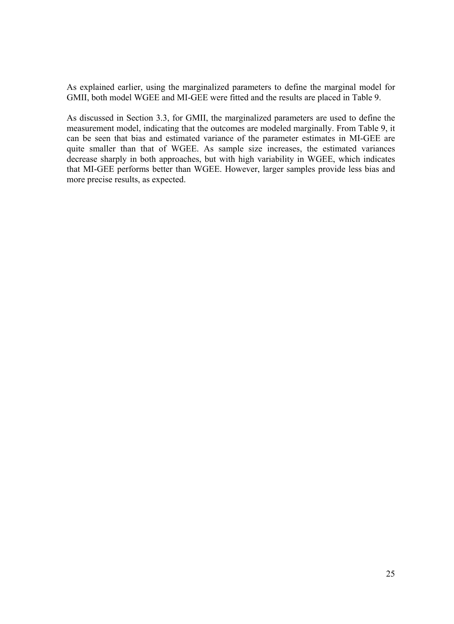As explained earlier, using the marginalized parameters to define the marginal model for GMII, both model WGEE and MI-GEE were fitted and the results are placed in Table 9.

As discussed in Section 3.3, for GMII, the marginalized parameters are used to define the measurement model, indicating that the outcomes are modeled marginally. From Table 9, it can be seen that bias and estimated variance of the parameter estimates in MI-GEE are quite smaller than that of WGEE. As sample size increases, the estimated variances decrease sharply in both approaches, but with high variability in WGEE, which indicates that MI-GEE performs better than WGEE. However, larger samples provide less bias and more precise results, as expected.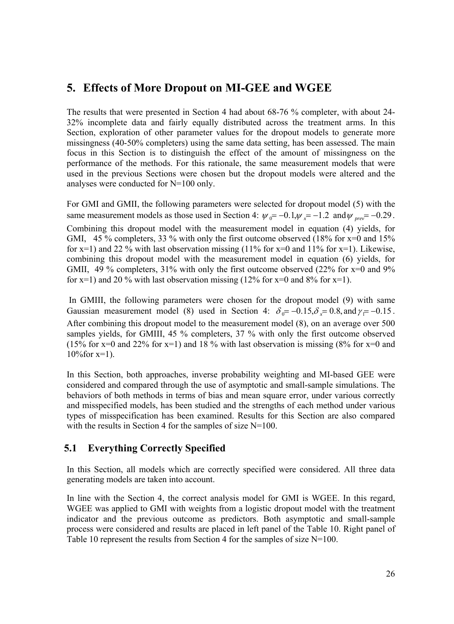# **5. Effects of More Dropout on MI-GEE and WGEE**

The results that were presented in Section 4 had about 68-76 % completer, with about 24- 32% incomplete data and fairly equally distributed across the treatment arms. In this Section, exploration of other parameter values for the dropout models to generate more missingness (40-50% completers) using the same data setting, has been assessed. The main focus in this Section is to distinguish the effect of the amount of missingness on the performance of the methods. For this rationale, the same measurement models that were used in the previous Sections were chosen but the dropout models were altered and the analyses were conducted for N=100 only.

For GMI and GMII, the following parameters were selected for dropout model (5) with the same measurement models as those used in Section 4:  $\psi_0 = -0.1$ ,  $\psi_x = -1.2$  and  $\psi_{prev} = -0.29$ .

Combining this dropout model with the measurement model in equation (4) yields, for GMI, 45 % completers, 33 % with only the first outcome observed (18% for  $x=0$  and 15% for  $x=1$ ) and 22 % with last observation missing (11% for  $x=0$  and 11% for  $x=1$ ). Likewise, combining this dropout model with the measurement model in equation (6) yields, for GMII, 49 % completers, 31% with only the first outcome observed (22% for  $x=0$  and 9% for  $x=1$ ) and 20 % with last observation missing (12% for  $x=0$  and 8% for  $x=1$ ).

 In GMIII, the following parameters were chosen for the dropout model (9) with same Gaussian measurement model (8) used in Section 4:  $\delta_0 = -0.15$ ,  $\delta_x = 0.8$ , and  $\gamma = -0.15$ . After combining this dropout model to the measurement model (8), on an average over 500 samples yields, for GMIII, 45 % completers, 37 % with only the first outcome observed (15% for  $x=0$  and 22% for  $x=1$ ) and 18% with last observation is missing (8% for  $x=0$  and  $10\%$  for  $x=1$ ).

In this Section, both approaches, inverse probability weighting and MI-based GEE were considered and compared through the use of asymptotic and small-sample simulations. The behaviors of both methods in terms of bias and mean square error, under various correctly and misspecified models, has been studied and the strengths of each method under various types of misspecification has been examined. Results for this Section are also compared with the results in Section 4 for the samples of size N=100.

## **5.1 Everything Correctly Specified**

In this Section, all models which are correctly specified were considered. All three data generating models are taken into account.

In line with the Section 4, the correct analysis model for GMI is WGEE. In this regard, WGEE was applied to GMI with weights from a logistic dropout model with the treatment indicator and the previous outcome as predictors. Both asymptotic and small-sample process were considered and results are placed in left panel of the Table 10. Right panel of Table 10 represent the results from Section 4 for the samples of size N=100.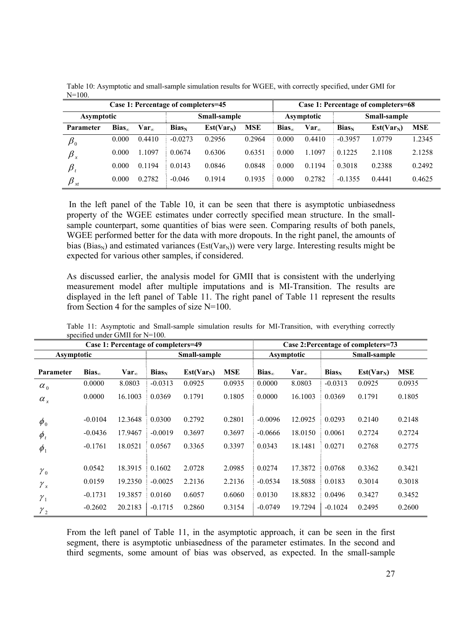|                                   | Case 1: Percentage of completers=45 |                         |           |              |                            | Case 1: Percentage of completers=68 |                  |           |              |            |
|-----------------------------------|-------------------------------------|-------------------------|-----------|--------------|----------------------------|-------------------------------------|------------------|-----------|--------------|------------|
| Small-sample<br><b>Asymptotic</b> |                                     |                         |           |              | Small-sample<br>Asymptotic |                                     |                  |           |              |            |
| Parameter                         | $Bias_{\infty}$                     | $\mathbf{Var}_{\infty}$ | $Bias_N$  | $Est(Var_N)$ | <b>MSE</b>                 | $Bias_{\infty}$                     | Var <sub>o</sub> | $Bias_N$  | $Est(Var_N)$ | <b>MSE</b> |
| $\pmb{\beta}_0$                   | 0.000                               | 0.4410                  | $-0.0273$ | 0.2956       | 0.2964                     | 0.000                               | 0.4410           | $-0.3957$ | .0779        | .2345      |
| $\pmb{\beta}_x$                   | 0.000                               | 1.1097                  | 0.0674    | 0.6306       | 0.6351                     | 0.000                               | 1.1097           | 0.1225    | 2.1108       | 2.1258     |
| $\beta$                           | 0.000                               | 0.1194                  | 0.0143    | 0.0846       | 0.0848                     | 0.000                               | 0.1194           | 0.3018    | 0.2388       | 0.2492     |
| $_{\beta}$<br>xt                  | 0.000                               | 0.2782                  | $-0.046$  | 0.1914       | 0.1935                     | 0.000                               | 0.2782           | $-0.1355$ | 0.4441       | 0.4625     |

Table 10: Asymptotic and small-sample simulation results for WGEE, with correctly specified, under GMI for  $N=100$ .

 In the left panel of the Table 10, it can be seen that there is asymptotic unbiasedness property of the WGEE estimates under correctly specified mean structure. In the smallsample counterpart, some quantities of bias were seen. Comparing results of both panels, WGEE performed better for the data with more dropouts. In the right panel, the amounts of bias (Bias<sub>N</sub>) and estimated variances (Est(Var<sub>N</sub>)) were very large. Interesting results might be expected for various other samples, if considered.

As discussed earlier, the analysis model for GMII that is consistent with the underlying measurement model after multiple imputations and is MI-Transition. The results are displayed in the left panel of Table 11. The right panel of Table 11 represent the results from Section 4 for the samples of size N=100.

|                  |                 | Case 1: Percentage of completers=49 |           |              |            |                 |                |           | Case 2: Percentage of completers=73 |            |
|------------------|-----------------|-------------------------------------|-----------|--------------|------------|-----------------|----------------|-----------|-------------------------------------|------------|
| Asymptotic       |                 |                                     |           | Small-sample |            |                 | Asymptotic     |           | Small-sample                        |            |
| <b>Parameter</b> | $Bias_{\infty}$ | $Var_{\infty}$                      | $Bias_N$  | $Est(Var_N)$ | <b>MSE</b> | $Bias_{\infty}$ | $Var_{\infty}$ | $Bias_N$  | $Est(Var_N)$                        | <b>MSE</b> |
| $\alpha_{0}$     | 0.0000          | 8.0803                              | $-0.0313$ | 0.0925       | 0.0935     | 0.0000          | 8.0803         | $-0.0313$ | 0.0925                              | 0.0935     |
| $\alpha_{\rm x}$ | 0.0000          | 16.1003                             | 0.0369    | 0.1791       | 0.1805     | 0.0000          | 16.1003        | 0.0369    | 0.1791                              | 0.1805     |
| $\phi_{0}$       | $-0.0104$       | 12.3648                             | 0.0300    | 0.2792       | 0.2801     | $-0.0096$       | 12.0925        | 0.0293    | 0.2140                              | 0.2148     |
| $\phi_{t}$       | $-0.0436$       | 17.9467                             | $-0.0019$ | 0.3697       | 0.3697     | $-0.0666$       | 18.0150        | 0.0061    | 0.2724                              | 0.2724     |
| $\phi_1$         | $-0.1761$       | 18.0521                             | 0.0567    | 0.3365       | 0.3397     | 0.0343          | 18.1481        | 0.0271    | 0.2768                              | 0.2775     |
| ${\gamma}_0$     | 0.0542          | 18.3915                             | 0.1602    | 2.0728       | 2.0985     | 0.0274          | 17.3872        | 0.0768    | 0.3362                              | 0.3421     |
| $\gamma_{x}$     | 0.0159          | 19.2350                             | $-0.0025$ | 2.2136       | 2.2136     | $-0.0534$       | 18.5088        | 0.0183    | 0.3014                              | 0.3018     |
| $\mathcal{Y}_1$  | $-0.1731$       | 19.3857                             | 0.0160    | 0.6057       | 0.6060     | 0.0130          | 18.8832        | 0.0496    | 0.3427                              | 0.3452     |
| $\gamma_{2}$     | $-0.2602$       | 20.2183                             | $-0.1715$ | 0.2860       | 0.3154     | $-0.0749$       | 19.7294        | $-0.1024$ | 0.2495                              | 0.2600     |

Table 11: Asymptotic and Small-sample simulation results for MI-Transition, with everything correctly specified under GMII for N=100.

From the left panel of Table 11, in the asymptotic approach, it can be seen in the first segment, there is asymptotic unbiasedness of the parameter estimates. In the second and third segments, some amount of bias was observed, as expected. In the small-sample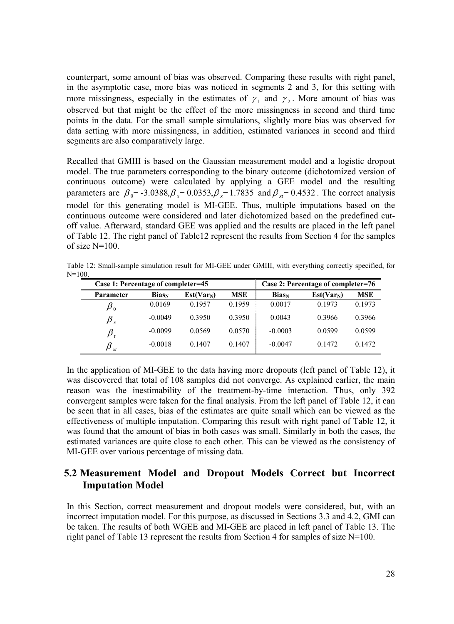counterpart, some amount of bias was observed. Comparing these results with right panel, in the asymptotic case, more bias was noticed in segments 2 and 3, for this setting with more missingness, especially in the estimates of  $\gamma_1$  and  $\gamma_2$ . More amount of bias was observed but that might be the effect of the more missingness in second and third time points in the data. For the small sample simulations, slightly more bias was observed for data setting with more missingness, in addition, estimated variances in second and third segments are also comparatively large.

Recalled that GMIII is based on the Gaussian measurement model and a logistic dropout model. The true parameters corresponding to the binary outcome (dichotomized version of continuous outcome) were calculated by applying a GEE model and the resulting parameters are  $\beta_0 = -3.0388$ ,  $\beta_0 = 0.0353$ ,  $\beta_0 = 1.7835$  and  $\beta_0 = 0.4532$ . The correct analysis model for this generating model is MI-GEE. Thus, multiple imputations based on the continuous outcome were considered and later dichotomized based on the predefined cutoff value. Afterward, standard GEE was applied and the results are placed in the left panel of Table 12. The right panel of Table12 represent the results from Section 4 for the samples of size  $N=100$ .

Table 12: Small-sample simulation result for MI-GEE under GMIII, with everything correctly specified, for  $N=100$ .

| Case 1: Percentage of completer=45 |           |              |            | Case 2: Percentage of completer=76 |                        |            |  |
|------------------------------------|-----------|--------------|------------|------------------------------------|------------------------|------------|--|
| <b>Parameter</b>                   | $Bias_N$  | $Est(Var_N)$ | <b>MSE</b> | $Bias_N$                           | Est(Var <sub>N</sub> ) | <b>MSE</b> |  |
| $\pmb{\beta}_0$                    | 0.0169    | 0.1957       | 0.1959     | 0.0017                             | 0.1973                 | 0.1973     |  |
| $\beta_{x}$                        | $-0.0049$ | 0.3950       | 0.3950     | 0.0043                             | 0.3966                 | 0.3966     |  |
| $\pmb{\beta}_t$                    | $-0.0099$ | 0.0569       | 0.0570     | $-0.0003$                          | 0.0599                 | 0.0599     |  |
| $\beta_{xt}$                       | $-0.0018$ | 0.1407       | 0.1407     | $-0.0047$                          | 0.1472                 | 0.1472     |  |

In the application of MI-GEE to the data having more dropouts (left panel of Table 12), it was discovered that total of 108 samples did not converge. As explained earlier, the main reason was the inestimability of the treatment-by-time interaction. Thus, only 392 convergent samples were taken for the final analysis. From the left panel of Table 12, it can be seen that in all cases, bias of the estimates are quite small which can be viewed as the effectiveness of multiple imputation. Comparing this result with right panel of Table 12, it was found that the amount of bias in both cases was small. Similarly in both the cases, the estimated variances are quite close to each other. This can be viewed as the consistency of MI-GEE over various percentage of missing data.

### **5.2 Measurement Model and Dropout Models Correct but Incorrect Imputation Model**

In this Section, correct measurement and dropout models were considered, but, with an incorrect imputation model. For this purpose, as discussed in Sections 3.3 and 4.2, GMI can be taken. The results of both WGEE and MI-GEE are placed in left panel of Table 13. The right panel of Table 13 represent the results from Section 4 for samples of size N=100.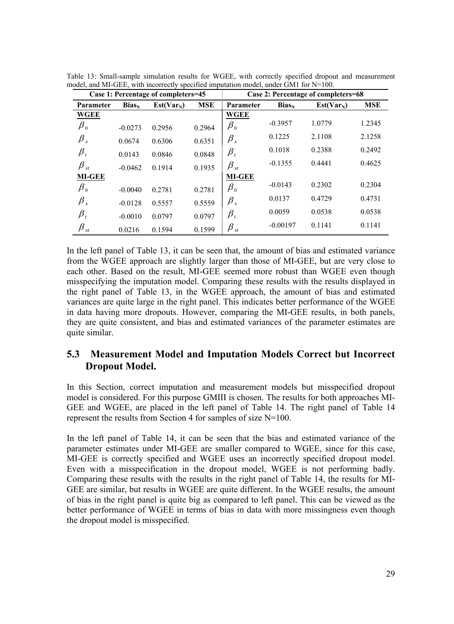|                                          |           | Case 1: Percentage of completers=45 |            | Case 2: Percentage of completers=68 |            |              |            |  |  |
|------------------------------------------|-----------|-------------------------------------|------------|-------------------------------------|------------|--------------|------------|--|--|
| <b>Parameter</b>                         | $Bias_N$  | $Est(Var_N)$                        | <b>MSE</b> | Parameter                           | $Bias_N$   | $Est(Var_N)$ | <b>MSE</b> |  |  |
| WGEE                                     |           |                                     |            | <b>WGEE</b>                         |            |              |            |  |  |
| $\pmb{\beta}_0$                          | $-0.0273$ | 0.2956                              | 0.2964     | $\pmb{\beta}_0$                     | $-0.3957$  | 1.0779       | 1.2345     |  |  |
| $\beta_{\rm x}$                          | 0.0674    | 0.6306                              | 0.6351     | $\beta_{\rm x}$                     | 0.1225     | 2.1108       | 2.1258     |  |  |
| $\pmb{\beta}_t$                          | 0.0143    | 0.0846                              | 0.0848     | $\pmb{\beta}_t$                     | 0.1018     | 0.2388       | 0.2492     |  |  |
| $\beta_{xt}$                             | $-0.0462$ | 0.1914                              | 0.1935     | $\beta_{\scriptscriptstyle_{xt}}$   | $-0.1355$  | 0.4441       | 0.4625     |  |  |
| <b>MI-GEE</b>                            |           |                                     |            | <b>MI-GEE</b>                       |            |              |            |  |  |
| $\pmb{\beta}_0$                          | $-0.0040$ | 0.2781                              | 0.2781     | $\beta_{0}$                         | $-0.0143$  | 0.2302       | 0.2304     |  |  |
| $\beta_{\rm x}$                          | $-0.0128$ | 0.5557                              | 0.5559     | $\beta_{\rm x}$                     | 0.0137     | 0.4729       | 0.4731     |  |  |
| $\pmb{\beta}_t$                          | $-0.0010$ | 0.0797                              | 0.0797     | $\pmb{\beta}_t$                     | 0.0059     | 0.0538       | 0.0538     |  |  |
| $\beta_{\scriptscriptstyle \mathit{xt}}$ | 0.0216    | 0.1594                              | 0.1599     | $\beta_{xt}$                        | $-0.00197$ | 0.1141       | 0.1141     |  |  |

Table 13: Small-sample simulation results for WGEE, with correctly specified dropout and measurement model, and MI-GEE, with incorrectly specified imputation model, under GM1 for N=100.

In the left panel of Table 13, it can be seen that, the amount of bias and estimated variance from the WGEE approach are slightly larger than those of MI-GEE, but are very close to each other. Based on the result, MI-GEE seemed more robust than WGEE even though misspecifying the imputation model. Comparing these results with the results displayed in the right panel of Table 13, in the WGEE approach, the amount of bias and estimated variances are quite large in the right panel. This indicates better performance of the WGEE in data having more dropouts. However, comparing the MI-GEE results, in both panels, they are quite consistent, and bias and estimated variances of the parameter estimates are quite similar.

### **5.3 Measurement Model and Imputation Models Correct but Incorrect Dropout Model.**

In this Section, correct imputation and measurement models but misspecified dropout model is considered. For this purpose GMIII is chosen. The results for both approaches MI-GEE and WGEE, are placed in the left panel of Table 14. The right panel of Table 14 represent the results from Section 4 for samples of size N=100.

In the left panel of Table 14, it can be seen that the bias and estimated variance of the parameter estimates under MI-GEE are smaller compared to WGEE, since for this case, MI-GEE is correctly specified and WGEE uses an incorrectly specified dropout model. Even with a misspecification in the dropout model, WGEE is not performing badly. Comparing these results with the results in the right panel of Table 14, the results for MI-GEE are similar, but results in WGEE are quite different. In the WGEE results, the amount of bias in the right panel is quite big as compared to left panel. This can be viewed as the better performance of WGEE in terms of bias in data with more missingness even though the dropout model is misspecified.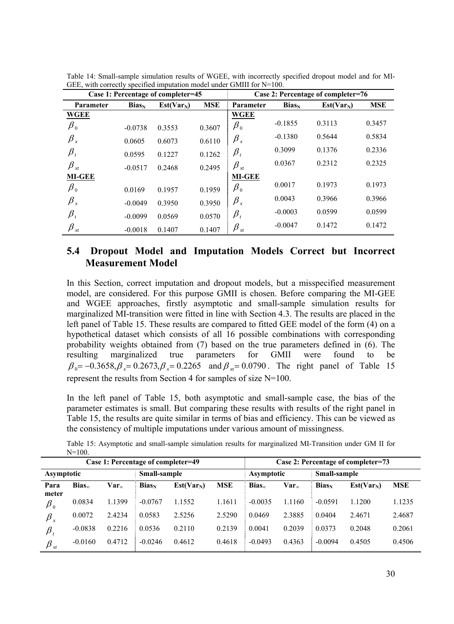|                             |           | Case 1: Percentage of completer=45 |            |                  |           | Case 2: Percentage of completer=76 |            |
|-----------------------------|-----------|------------------------------------|------------|------------------|-----------|------------------------------------|------------|
| Parameter                   | $Bias_N$  | $Est(Var_N)$                       | <b>MSE</b> | <b>Parameter</b> | $Bias_N$  | $Est(Var_N)$                       | <b>MSE</b> |
| <b>WGEE</b>                 |           |                                    |            | <b>WGEE</b>      |           |                                    |            |
| $\pmb{\beta}_0$             | $-0.0738$ | 0.3553                             | 0.3607     | $\beta_0$        | $-0.1855$ | 0.3113                             | 0.3457     |
| $\beta_{\rm x}$             | 0.0605    | 0.6073                             | 0.6110     | $\beta_{\rm x}$  | $-0.1380$ | 0.5644                             | 0.5834     |
| $\beta_{_t}$                | 0.0595    | 0.1227                             | 0.1262     | $\beta_{_t}$     | 0.3099    | 0.1376                             | 0.2336     |
| $\beta_{xt}$                | $-0.0517$ | 0.2468                             | 0.2495     | $\beta_{xt}$     | 0.0367    | 0.2312                             | 0.2325     |
| <b>MI-GEE</b>               |           |                                    |            | <b>MI-GEE</b>    |           |                                    |            |
| $\pmb{\beta}_0$             | 0.0169    | 0.1957                             | 0.1959     | $\beta_0$        | 0.0017    | 0.1973                             | 0.1973     |
| $\beta_{\rm x}$             | $-0.0049$ | 0.3950                             | 0.3950     | $\beta_{\rm x}$  | 0.0043    | 0.3966                             | 0.3966     |
| $\beta_{_t}$                | $-0.0099$ | 0.0569                             | 0.0570     | $\beta_{_t}$     | $-0.0003$ | 0.0599                             | 0.0599     |
| $\pmb{\beta}_{\mathit{xt}}$ | $-0.0018$ | 0.1407                             | 0.1407     | $\beta_{xt}$     | $-0.0047$ | 0.1472                             | 0.1472     |

Table 14: Small-sample simulation results of WGEE, with incorrectly specified dropout model and for MI-GEE, with correctly specified imputation model under GMIII for N=100.

### **5.4 Dropout Model and Imputation Models Correct but Incorrect Measurement Model**

In this Section, correct imputation and dropout models, but a misspecified measurement model, are considered. For this purpose GMII is chosen. Before comparing the MI-GEE and WGEE approaches, firstly asymptotic and small-sample simulation results for marginalized MI-transition were fitted in line with Section 4.3. The results are placed in the left panel of Table 15. These results are compared to fitted GEE model of the form (4) on a hypothetical dataset which consists of all 16 possible combinations with corresponding probability weights obtained from (7) based on the true parameters defined in (6). The resulting marginalized true parameters for GMII were found to be  $\beta_0 = -0.3658, \beta_0 = 0.2673, \beta_0 = 0.2265$  and  $\beta_0 = 0.0790$ . The right panel of Table 15 represent the results from Section 4 for samples of size N=100.

In the left panel of Table 15, both asymptotic and small-sample case, the bias of the parameter estimates is small. But comparing these results with results of the right panel in Table 15, the results are quite similar in terms of bias and efficiency. This can be viewed as the consistency of multiple imputations under various amount of missingness.

|                             |                 |                  | Case 1: Percentage of completer=49 |              |            | Case 2: Percentage of completer=73 |                |           |                        |            |  |
|-----------------------------|-----------------|------------------|------------------------------------|--------------|------------|------------------------------------|----------------|-----------|------------------------|------------|--|
| <b>Asymptotic</b>           |                 |                  | Small-sample                       |              |            | Small-sample<br>Asymptotic         |                |           |                        |            |  |
| Para                        | $Bias_{\infty}$ | Var <sub>o</sub> | $Bias_N$                           | $Est(Var_N)$ | <b>MSE</b> | $Bias_{\infty}$                    | $Var_{\infty}$ | $Bias_N$  | Est(Var <sub>N</sub> ) | <b>MSE</b> |  |
| meter                       |                 |                  |                                    |              |            |                                    |                |           |                        |            |  |
| $\pmb{\beta}_0$             | 0.0834          | 1.1399           | $-0.0767$                          | 1.1552       | 1.1611     | $-0.0035$                          | 1.1160         | $-0.0591$ | 1.1200                 | 1.1235     |  |
| $\pmb{\beta}_x$             | 0.0072          | 2.4234           | 0.0583                             | 2.5256       | 2.5290     | 0.0469                             | 2.3885         | 0.0404    | 2.4671                 | 2.4687     |  |
| $\beta$                     | $-0.0838$       | 0.2216           | 0.0536                             | 0.2110       | 0.2139     | 0.0041                             | 0.2039         | 0.0373    | 0.2048                 | 0.2061     |  |
| $\beta_{\tiny \textit{xt}}$ | $-0.0160$       | 0.4712           | $-0.0246$                          | 0.4612       | 0.4618     | $-0.0493$                          | 0.4363         | $-0.0094$ | 0.4505                 | 0.4506     |  |

Table 15: Asymptotic and small-sample simulation results for marginalized MI-Transition under GM II for N=100.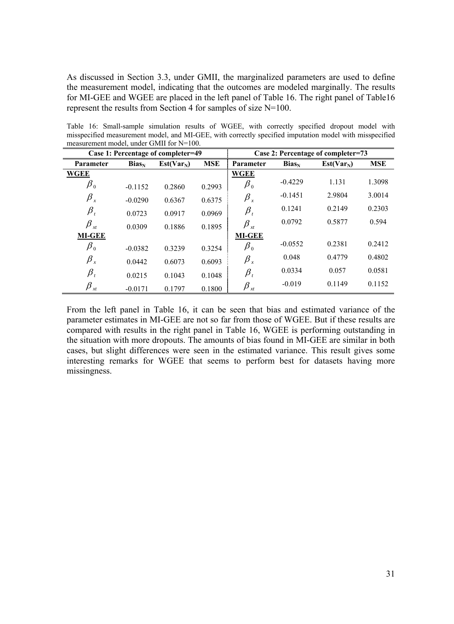As discussed in Section 3.3, under GMII, the marginalized parameters are used to define the measurement model, indicating that the outcomes are modeled marginally. The results for MI-GEE and WGEE are placed in the left panel of Table 16. The right panel of Table16 represent the results from Section 4 for samples of size N=100.

Table 16: Small-sample simulation results of WGEE, with correctly specified dropout model with misspecified measurement model, and MI-GEE, with correctly specified imputation model with misspecified measurement model, under GMII for N=100.

|                                |           | Case 1: Percentage of completer=49 |            | Case 2: Percentage of completer=73 |           |              |            |  |
|--------------------------------|-----------|------------------------------------|------------|------------------------------------|-----------|--------------|------------|--|
| <b>Parameter</b>               | $Bias_N$  | $Est(Var_N)$                       | <b>MSE</b> | Parameter                          | $Bias_N$  | $Est(Var_N)$ | <b>MSE</b> |  |
| <b>WGEE</b>                    |           |                                    |            | <b>WGEE</b>                        |           |              |            |  |
| $\beta_{\scriptscriptstyle 0}$ | $-0.1152$ | 0.2860                             | 0.2993     | $\beta_{\scriptscriptstyle 0}$     | $-0.4229$ | 1.131        | 1.3098     |  |
| $\beta_{\rm x}$                | $-0.0290$ | 0.6367                             | 0.6375     | $\beta_{\rm x}$                    | $-0.1451$ | 2.9804       | 3.0014     |  |
| $\pmb{\beta}_t$                | 0.0723    | 0.0917                             | 0.0969     | $\pmb{\beta}_t$                    | 0.1241    | 0.2149       | 0.2303     |  |
| $\beta_{xt}$                   | 0.0309    | 0.1886                             | 0.1895     | $\beta_{xt}$                       | 0.0792    | 0.5877       | 0.594      |  |
| <b>MI-GEE</b>                  |           |                                    |            | <b>MI-GEE</b>                      |           |              |            |  |
| $\beta_{0}$                    | $-0.0382$ | 0.3239                             | 0.3254     | $\pmb{\beta}_0$                    | $-0.0552$ | 0.2381       | 0.2412     |  |
| $\beta_{\rm x}$                | 0.0442    | 0.6073                             | 0.6093     | $\beta_{\rm x}$                    | 0.048     | 0.4779       | 0.4802     |  |
| $\pmb{\beta}_t$                | 0.0215    | 0.1043                             | 0.1048     | $\pmb{\beta}_t$                    | 0.0334    | 0.057        | 0.0581     |  |
| $\beta_{\tiny \textit{xt}}$    | $-0.0171$ | 0.1797                             | 0.1800     | $\beta_{\tiny \chi t}$             | $-0.019$  | 0.1149       | 0.1152     |  |

From the left panel in Table 16, it can be seen that bias and estimated variance of the parameter estimates in MI-GEE are not so far from those of WGEE. But if these results are compared with results in the right panel in Table 16, WGEE is performing outstanding in the situation with more dropouts. The amounts of bias found in MI-GEE are similar in both cases, but slight differences were seen in the estimated variance. This result gives some interesting remarks for WGEE that seems to perform best for datasets having more missingness.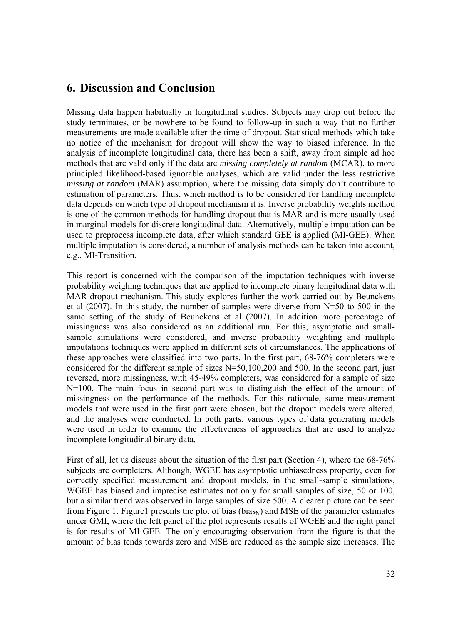# **6. Discussion and Conclusion**

Missing data happen habitually in longitudinal studies. Subjects may drop out before the study terminates, or be nowhere to be found to follow-up in such a way that no further measurements are made available after the time of dropout. Statistical methods which take no notice of the mechanism for dropout will show the way to biased inference. In the analysis of incomplete longitudinal data, there has been a shift, away from simple ad hoc methods that are valid only if the data are *missing completely at random* (MCAR), to more principled likelihood-based ignorable analyses, which are valid under the less restrictive *missing at random* (MAR) assumption, where the missing data simply don't contribute to estimation of parameters. Thus, which method is to be considered for handling incomplete data depends on which type of dropout mechanism it is. Inverse probability weights method is one of the common methods for handling dropout that is MAR and is more usually used in marginal models for discrete longitudinal data. Alternatively, multiple imputation can be used to preprocess incomplete data, after which standard GEE is applied (MI-GEE). When multiple imputation is considered, a number of analysis methods can be taken into account, e.g., MI-Transition.

This report is concerned with the comparison of the imputation techniques with inverse probability weighing techniques that are applied to incomplete binary longitudinal data with MAR dropout mechanism. This study explores further the work carried out by Beunckens et al (2007). In this study, the number of samples were diverse from N=50 to 500 in the same setting of the study of Beunckens et al (2007). In addition more percentage of missingness was also considered as an additional run. For this, asymptotic and smallsample simulations were considered, and inverse probability weighting and multiple imputations techniques were applied in different sets of circumstances. The applications of these approaches were classified into two parts. In the first part, 68-76% completers were considered for the different sample of sizes N=50,100,200 and 500. In the second part, just reversed, more missingness, with 45-49% completers, was considered for a sample of size N=100. The main focus in second part was to distinguish the effect of the amount of missingness on the performance of the methods. For this rationale, same measurement models that were used in the first part were chosen, but the dropout models were altered, and the analyses were conducted. In both parts, various types of data generating models were used in order to examine the effectiveness of approaches that are used to analyze incomplete longitudinal binary data.

First of all, let us discuss about the situation of the first part (Section 4), where the 68-76% subjects are completers. Although, WGEE has asymptotic unbiasedness property, even for correctly specified measurement and dropout models, in the small-sample simulations, WGEE has biased and imprecise estimates not only for small samples of size, 50 or 100, but a similar trend was observed in large samples of size 500. A clearer picture can be seen from Figure 1. Figure1 presents the plot of bias (bias<sub>N</sub>) and MSE of the parameter estimates under GMI, where the left panel of the plot represents results of WGEE and the right panel is for results of MI-GEE. The only encouraging observation from the figure is that the amount of bias tends towards zero and MSE are reduced as the sample size increases. The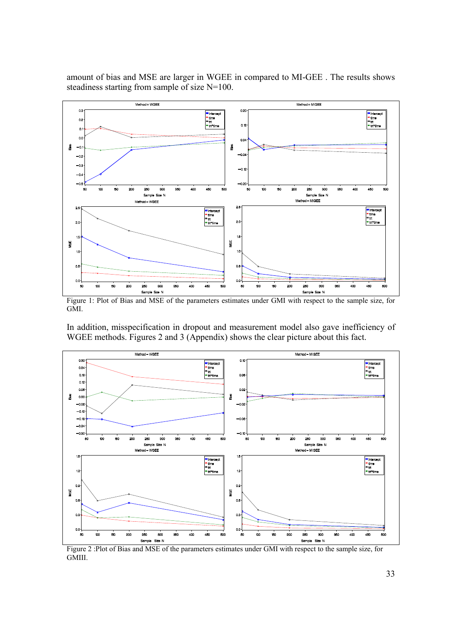amount of bias and MSE are larger in WGEE in compared to MI-GEE . The results shows steadiness starting from sample of size N=100.



Figure 1: Plot of Bias and MSE of the parameters estimates under GMI with respect to the sample size, for GMI.

In addition, misspecification in dropout and measurement model also gave inefficiency of WGEE methods. Figures 2 and 3 (Appendix) shows the clear picture about this fact.



Figure 2 :Plot of Bias and MSE of the parameters estimates under GMI with respect to the sample size, for GMIII.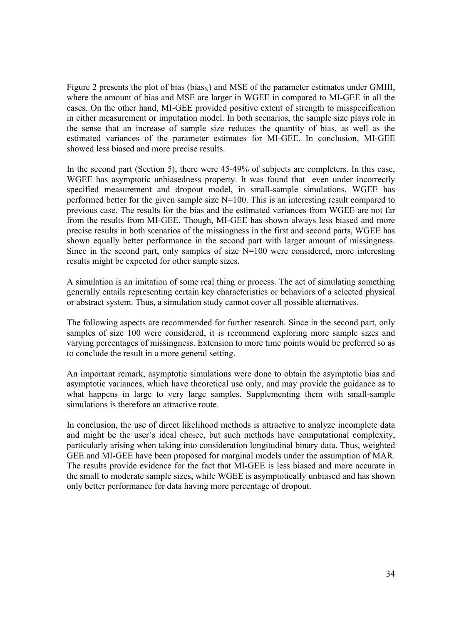Figure 2 presents the plot of bias (bias<sub>N</sub>) and MSE of the parameter estimates under GMIII, where the amount of bias and MSE are larger in WGEE in compared to MI-GEE in all the cases. On the other hand, MI-GEE provided positive extent of strength to misspecification in either measurement or imputation model. In both scenarios, the sample size plays role in the sense that an increase of sample size reduces the quantity of bias, as well as the estimated variances of the parameter estimates for MI-GEE. In conclusion, MI-GEE showed less biased and more precise results.

In the second part (Section 5), there were 45-49% of subjects are completers. In this case, WGEE has asymptotic unbiasedness property. It was found that even under incorrectly specified measurement and dropout model, in small-sample simulations, WGEE has performed better for the given sample size N=100. This is an interesting result compared to previous case. The results for the bias and the estimated variances from WGEE are not far from the results from MI-GEE. Though, MI-GEE has shown always less biased and more precise results in both scenarios of the missingness in the first and second parts, WGEE has shown equally better performance in the second part with larger amount of missingness. Since in the second part, only samples of size  $N=100$  were considered, more interesting results might be expected for other sample sizes.

A simulation is an imitation of some real thing or process. The act of simulating something generally entails representing certain key characteristics or behaviors of a selected physical or abstract system. Thus, a simulation study cannot cover all possible alternatives.

The following aspects are recommended for further research. Since in the second part, only samples of size 100 were considered, it is recommend exploring more sample sizes and varying percentages of missingness. Extension to more time points would be preferred so as to conclude the result in a more general setting.

An important remark, asymptotic simulations were done to obtain the asymptotic bias and asymptotic variances, which have theoretical use only, and may provide the guidance as to what happens in large to very large samples. Supplementing them with small-sample simulations is therefore an attractive route.

In conclusion, the use of direct likelihood methods is attractive to analyze incomplete data and might be the user's ideal choice, but such methods have computational complexity, particularly arising when taking into consideration longitudinal binary data. Thus, weighted GEE and MI-GEE have been proposed for marginal models under the assumption of MAR. The results provide evidence for the fact that MI-GEE is less biased and more accurate in the small to moderate sample sizes, while WGEE is asymptotically unbiased and has shown only better performance for data having more percentage of dropout.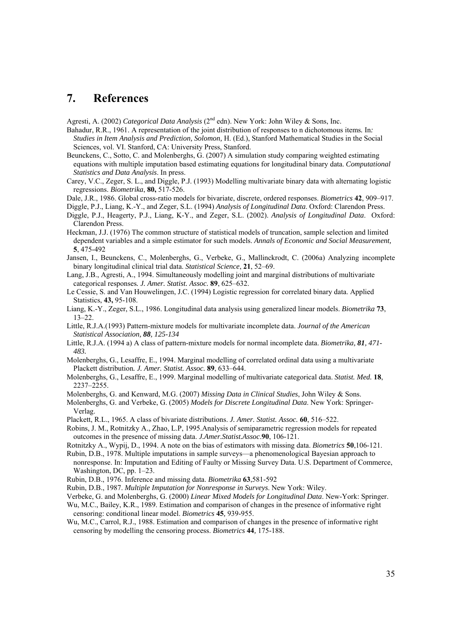### **7. References**

Agresti, A. (2002) *Categorical Data Analysis* (2<sup>nd</sup> edn). New York: John Wiley & Sons, Inc.

- Bahadur, R.R., 1961. A representation of the joint distribution of responses to n dichotomous items*.* In*: Studies in Item Analysis and Prediction, Solomon,* H. (Ed.), Stanford Mathematical Studies in the Social Sciences, vol. VI. Stanford, CA: University Press, Stanford.
- Beunckens, C., Sotto, C. and Molenberghs, G. (2007) A simulation study comparing weighted estimating equations with multiple imputation based estimating equations for longitudinal binary data. *Computational Statistics and Data Analysis*. In press.
- Carey, V.C., Zeger, S. L., and Diggle, P.J. (1993) Modelling multivariate binary data with alternating logistic regressions. *Biometrika*, **80,** 517-526.
- Dale, J.R., 1986. Global cross-ratio models for bivariate, discrete, ordered responses. *Biometrics* **42**, 909–917.
- Diggle, P.J., Liang, K.-Y., and Zeger, S.L. (1994) *Analysis of Longitudinal Data*. Oxford: Clarendon Press.
- Diggle, P.J., Heagerty, P.J., Liang, K-Y., and Zeger, S.L. (2002). *Analysis of Longitudinal Data*. Oxford: Clarendon Press.
- Heckman, J.J. (1976) The common structure of statistical models of truncation, sample selection and limited dependent variables and a simple estimator for such models. *Annals of Economic and Social Measurement,*  **5**, 475-492
- Jansen, I., Beunckens, C., Molenberghs, G., Verbeke, G., Mallinckrodt, C. (2006a) Analyzing incomplete binary longitudinal clinical trial data. *Statistical Science*, **21**, 52–69.
- Lang, J.B., Agresti, A., 1994. Simultaneously modelling joint and marginal distributions of multivariate categorical responses*. J. Amer. Statist. Assoc.* **89**, 625–632.
- Le Cessie, S. and Van Houwelingen, J.C. (1994) Logistic regression for correlated binary data. Applied Statistics, **43,** 95-108.
- Liang, K.-Y., Zeger, S.L., 1986. Longitudinal data analysis using generalized linear models. *Biometrika* **73**, 13–22.
- Little, R.J.A.(1993) Pattern-mixture models for multivariate incomplete data. *Journal of the American Statistical Association, 88, 125-134*
- Little, R.J.A. (1994 a) A class of pattern-mixture models for normal incomplete data. *Biometrika, 81, 471- 483.*
- Molenberghs, G., Lesaffre, E., 1994. Marginal modelling of correlated ordinal data using a multivariate Plackett distribution*. J. Amer. Statist. Assoc.* **89**, 633–644.
- Molenberghs, G., Lesaffre, E., 1999. Marginal modelling of multivariate categorical data. *Statist. Med.* **18**, 2237–2255.
- Molenberghs, G. and Kenward, M.G. (2007) *Missing Data in Clinical Studies*, John Wiley & Sons.
- Molenberghs, G. and Verbeke, G. (2005) *Models for Discrete Longitudinal Data*. New York: Springer-Verlag.
- Plackett, R.L., 1965. A class of bivariate distributions. *J. Amer. Statist. Assoc.* **60**, 516–522.
- Robins, J. M., Rotnitzky A., Zhao, L.P, 1995.Analysis of semiparametric regression models for repeated outcomes in the presence of missing data. *J.Amer.Statist.Assoc*.**90**, 106-121.
- Rotnitzky A., Wypij, D., 1994. A note on the bias of estimators with missing data. *Biometrics* **50**,106-121.
- Rubin, D.B., 1978. Multiple imputations in sample surveys—a phenomenological Bayesian approach to nonresponse. In: Imputation and Editing of Faulty or Missing Survey Data. U.S. Department of Commerce, Washington, DC, pp. 1–23.
- Rubin, D.B., 1976. Inference and missing data. *Biometrika* **63**,581-592
- Rubin, D.B., 1987. *Multiple Imputation for Nonresponse in Surveys*. New York: Wiley.
- Verbeke, G. and Molenberghs, G. (2000) *Linear Mixed Models for Longitudinal Data*. New-York: Springer.
- Wu, M.C., Bailey, K.R., 1989. Estimation and comparison of changes in the presence of informative right censoring: conditional linear model. *Biometrics* **45***,* 939-955.
- Wu, M.C., Carrol, R.J., 1988. Estimation and comparison of changes in the presence of informative right censoring by modelling the censoring process. *Biometrics* **44***,* 175-188.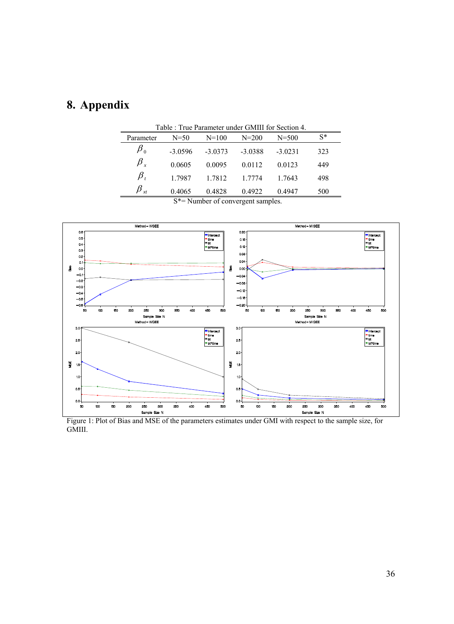# **8. Appendix**

| Table : True Parameter under GMIII for Section 4. |                                                       |           |           |                          |       |  |  |  |  |  |
|---------------------------------------------------|-------------------------------------------------------|-----------|-----------|--------------------------|-------|--|--|--|--|--|
| Parameter                                         | $N=50$                                                | $N = 100$ | $N = 200$ | $N = 500$                | $S^*$ |  |  |  |  |  |
| $\pmb{\beta}_0$                                   | $-3.0596$                                             | $-3.0373$ | $-3.0388$ | $-3.0231$                | 323   |  |  |  |  |  |
| $\beta$ ,                                         | 0.0605                                                | 0.0095    | 0.0112    | 0.0123                   | 449   |  |  |  |  |  |
| $\beta$ ,                                         | 1 7987                                                | 1.7812    | 1 7774    | 1 7643                   | 498   |  |  |  |  |  |
|                                                   | 0.4065<br>$\alpha + \beta + \gamma + \gamma + \gamma$ | 0.4828    | 0.4922    | 0.4947<br>$\blacksquare$ | 500   |  |  |  |  |  |

S\*= Number of convergent samples.



Figure 1: Plot of Bias and MSE of the parameters estimates under GMI with respect to the sample size, for GMIII.